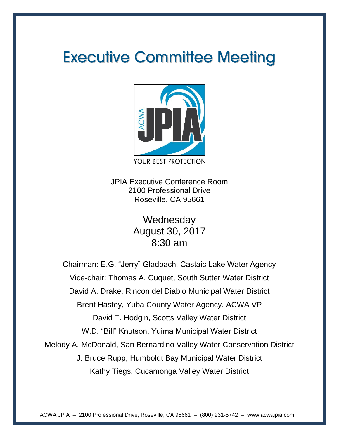# **Executive Committee Meeting**



JPIA Executive Conference Room 2100 Professional Drive Roseville, CA 95661

> **Wednesday** August 30, 2017 8:30 am

Chairman: E.G. "Jerry" Gladbach, Castaic Lake Water Agency Vice-chair: Thomas A. Cuquet, South Sutter Water District David A. Drake, Rincon del Diablo Municipal Water District Brent Hastey, Yuba County Water Agency, ACWA VP David T. Hodgin, Scotts Valley Water District W.D. "Bill" Knutson, Yuima Municipal Water District Melody A. McDonald, San Bernardino Valley Water Conservation District J. Bruce Rupp, Humboldt Bay Municipal Water District Kathy Tiegs, Cucamonga Valley Water District

ACWA JPIA – 2100 Professional Drive, Roseville, CA 95661 – (800) 231-5742 – www.acwajpia.com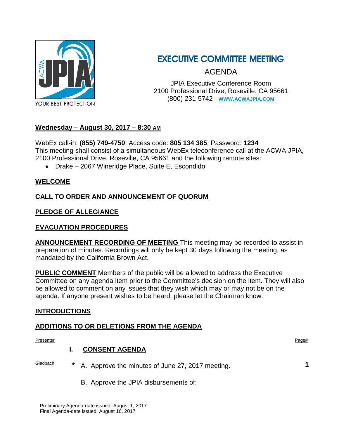

## EXECUTIVE COMMITTEE MEETING

AGENDA

JPIA Executive Conference Room 2100 Professional Drive, Roseville, CA 95661 (800) 231-5742 - **[WWW.ACWAJPIA.COM](http://www.acwajpia.com/)**

### **Wednesday – August 30, 2017 – 8:30 AM**

### WebEx call-in: **(855) 749-4750**; Access code: **805 134 385**; Password: **1234**

This meeting shall consist of a simultaneous WebEx teleconference call at the ACWA JPIA, 2100 Professional Drive, Roseville, CA 95661 and the following remote sites:

• Drake – 2067 Wineridge Place, Suite E, Escondido

### **WELCOME**

### **CALL TO ORDER AND ANNOUNCEMENT OF QUORUM**

### **PLEDGE OF ALLEGIANCE**

### **EVACUATION PROCEDURES**

**ANNOUNCEMENT RECORDING OF MEETING** This meeting may be recorded to assist in preparation of minutes. Recordings will only be kept 30 days following the meeting, as mandated by the California Brown Act.

**PUBLIC COMMENT** Members of the public will be allowed to address the Executive Committee on any agenda item prior to the Committee's decision on the item. They will also be allowed to comment on any issues that they wish which may or may not be on the agenda. If anyone present wishes to be heard, please let the Chairman know.

### **INTRODUCTIONS**

### **ADDITIONS TO OR DELETIONS FROM THE AGENDA**

Presenter **Presenter** Page#

### **I. CONSENT AGENDA**

- Gladbach **\*** A. Approve the minutes of June 27, 2017 meeting. **1**
- 

B. Approve the JPIA disbursements of: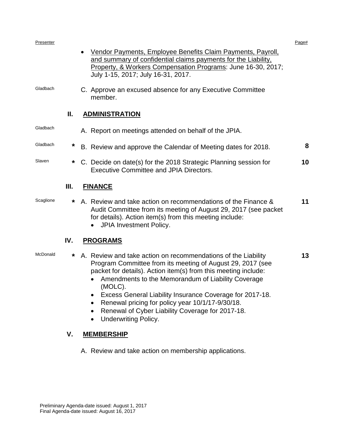| Presenter |        |                                                                                                                                                                                                                                                                                                                                                                                                                                                                   | Page# |
|-----------|--------|-------------------------------------------------------------------------------------------------------------------------------------------------------------------------------------------------------------------------------------------------------------------------------------------------------------------------------------------------------------------------------------------------------------------------------------------------------------------|-------|
|           |        | Vendor Payments, Employee Benefits Claim Payments, Payroll,<br>and summary of confidential claims payments for the Liability.<br>Property, & Workers Compensation Programs: June 16-30, 2017;<br>July 1-15, 2017; July 16-31, 2017.                                                                                                                                                                                                                               |       |
| Gladbach  |        | C. Approve an excused absence for any Executive Committee<br>member.                                                                                                                                                                                                                                                                                                                                                                                              |       |
|           | Ш.     | <b>ADMINISTRATION</b>                                                                                                                                                                                                                                                                                                                                                                                                                                             |       |
| Gladbach  |        | A. Report on meetings attended on behalf of the JPIA.                                                                                                                                                                                                                                                                                                                                                                                                             |       |
| Gladbach  | *      | B. Review and approve the Calendar of Meeting dates for 2018.                                                                                                                                                                                                                                                                                                                                                                                                     | 8     |
| Slaven    | $\ast$ | C. Decide on date(s) for the 2018 Strategic Planning session for<br><b>Executive Committee and JPIA Directors.</b>                                                                                                                                                                                                                                                                                                                                                | 10    |
|           | Ш.     | <b>FINANCE</b>                                                                                                                                                                                                                                                                                                                                                                                                                                                    |       |
| Scaglione | *      | A. Review and take action on recommendations of the Finance &<br>Audit Committee from its meeting of August 29, 2017 (see packet<br>for details). Action item(s) from this meeting include:<br>JPIA Investment Policy.                                                                                                                                                                                                                                            | 11    |
|           | IV.    | <b>PROGRAMS</b>                                                                                                                                                                                                                                                                                                                                                                                                                                                   |       |
| McDonald  | *      | A. Review and take action on recommendations of the Liability<br>Program Committee from its meeting of August 29, 2017 (see<br>packet for details). Action item(s) from this meeting include:<br>Amendments to the Memorandum of Liability Coverage<br>(MOLC).<br>Excess General Liability Insurance Coverage for 2017-18.<br>Renewal pricing for policy year 10/1/17-9/30/18.<br>Renewal of Cyber Liability Coverage for 2017-18.<br><b>Underwriting Policy.</b> | 13    |
|           | V.     | <b>MEMBERSHIP</b>                                                                                                                                                                                                                                                                                                                                                                                                                                                 |       |
|           |        | A. Review and take action on membership applications.                                                                                                                                                                                                                                                                                                                                                                                                             |       |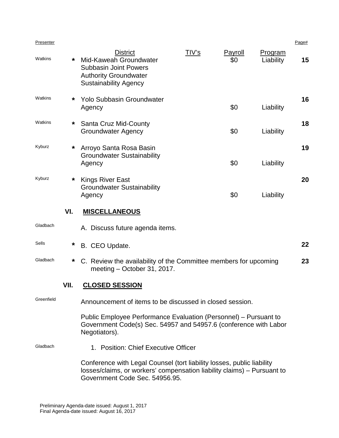| Presenter  |         |                                                                                                                                                                                     |              |                |                      | Page# |
|------------|---------|-------------------------------------------------------------------------------------------------------------------------------------------------------------------------------------|--------------|----------------|----------------------|-------|
| Watkins    | *       | <b>District</b><br>Mid-Kaweah Groundwater<br><b>Subbasin Joint Powers</b><br><b>Authority Groundwater</b><br><b>Sustainability Agency</b>                                           | <u>TIV's</u> | Payroll<br>\$0 | Program<br>Liability | 15    |
| Watkins    | *       | <b>Yolo Subbasin Groundwater</b><br>Agency                                                                                                                                          |              | \$0            | Liability            | 16    |
| Watkins    | *       | Santa Cruz Mid-County<br><b>Groundwater Agency</b>                                                                                                                                  |              | \$0            | Liability            | 18    |
| Kyburz     | *       | Arroyo Santa Rosa Basin<br><b>Groundwater Sustainability</b><br>Agency                                                                                                              |              | \$0            | Liability            | 19    |
| Kyburz     | *       | <b>Kings River East</b><br><b>Groundwater Sustainability</b><br>Agency                                                                                                              |              | \$0            | Liability            | 20    |
|            | VI.     | <b>MISCELLANEOUS</b>                                                                                                                                                                |              |                |                      |       |
| Gladbach   |         | A. Discuss future agenda items.                                                                                                                                                     |              |                |                      |       |
| Sells      | *       | B. CEO Update.                                                                                                                                                                      |              |                |                      | 22    |
| Gladbach   | $\star$ | C. Review the availability of the Committee members for upcoming<br>23<br>meeting - October 31, 2017.                                                                               |              |                |                      |       |
|            | VII.    | <b>CLOSED SESSION</b>                                                                                                                                                               |              |                |                      |       |
| Greenfield |         | Announcement of items to be discussed in closed session.                                                                                                                            |              |                |                      |       |
|            |         | Public Employee Performance Evaluation (Personnel) – Pursuant to<br>Government Code(s) Sec. 54957 and 54957.6 (conference with Labor<br>Negotiators).                               |              |                |                      |       |
| Gladbach   |         | 1. Position: Chief Executive Officer                                                                                                                                                |              |                |                      |       |
|            |         | Conference with Legal Counsel (tort liability losses, public liability<br>losses/claims, or workers' compensation liability claims) – Pursuant to<br>Government Code Sec. 54956.95. |              |                |                      |       |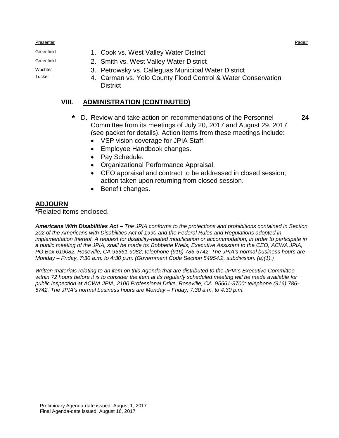Presenter **Presenter** Page#

- Greenfield 1. Cook vs. West Valley Water District
- Greenfield 2. Smith vs. West Valley Water District
- Wuchter **3. Petrowsky vs. Calleguas Municipal Water District**<br>Tucker **1. Corman vs. Yolo County Flood Control 8 Water C** 
	- 4. Carman vs. Yolo County Flood Control & Water Conservation **District**

### **VIII. ADMINISTRATION (CONTINUTED)**

- **\*** D. Review and take action on recommendations of the Personnel Committee from its meetings of July 20, 2017 and August 29, 2017 (see packet for details). Action items from these meetings include: **24**
	- VSP vision coverage for JPIA Staff.
	- Employee Handbook changes.
	- Pay Schedule.
	- Organizational Performance Appraisal.
	- CEO appraisal and contract to be addressed in closed session; action taken upon returning from closed session.
	- Benefit changes.

### **ADJOURN**

**\***Related items enclosed.

*Americans With Disabilities Act – The JPIA conforms to the protections and prohibitions contained in Section 202 of the Americans with Disabilities Act of 1990 and the Federal Rules and Regulations adopted in implementation thereof. A request for disability-related modification or accommodation, in order to participate in a public meeting of the JPIA, shall be made to: Bobbette Wells, Executive Assistant to the CEO, ACWA JPIA, PO Box 619082, Roseville, CA 95661-9082; telephone (916) 786-5742. The JPIA's normal business hours are Monday – Friday, 7:30 a.m. to 4:30 p.m. (Government Code Section 54954.2, subdivision. (a)(1).)*

*Written materials relating to an item on this Agenda that are distributed to the JPIA's Executive Committee within 72 hours before it is to consider the item at its regularly scheduled meeting will be made available for public inspection at ACWA JPIA, 2100 Professional Drive, Roseville, CA 95661-3700; telephone (916) 786- 5742. The JPIA's normal business hours are Monday – Friday, 7:30 a.m. to 4:30 p.m.*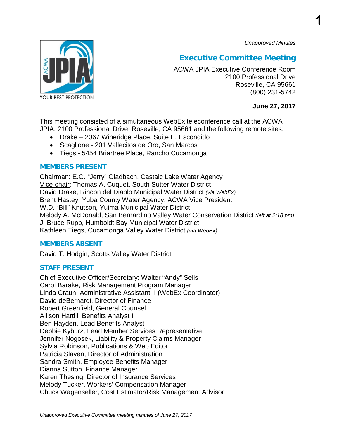*Unapproved Minutes*

**1**



### **Executive Committee Meeting**

ACWA JPIA Executive Conference Room 2100 Professional Drive Roseville, CA 95661 (800) 231-5742

**June 27, 2017**

This meeting consisted of a simultaneous WebEx teleconference call at the ACWA JPIA, 2100 Professional Drive, Roseville, CA 95661 and the following remote sites:

- Drake 2067 Wineridge Place, Suite E, Escondido
- Scaglione 201 Vallecitos de Oro, San Marcos
- Tiegs 5454 Briartree Place, Rancho Cucamonga

### **MEMBERS PRESENT**

Chairman: E.G. "Jerry" Gladbach, Castaic Lake Water Agency Vice-chair: Thomas A. Cuquet, South Sutter Water District David Drake, Rincon del Diablo Municipal Water District *(via WebEx)* Brent Hastey, Yuba County Water Agency, ACWA Vice President W.D. "Bill" Knutson, Yuima Municipal Water District Melody A. McDonald, San Bernardino Valley Water Conservation District *(left at 2:18 pm)* J. Bruce Rupp, Humboldt Bay Municipal Water District Kathleen Tiegs, Cucamonga Valley Water District *(via WebEx)*

### **MEMBERS ABSENT**

David T. Hodgin, Scotts Valley Water District

### **STAFF PRESENT**

Chief Executive Officer/Secretary: Walter "Andy" Sells Carol Barake, Risk Management Program Manager Linda Craun, Administrative Assistant II (WebEx Coordinator) David deBernardi, Director of Finance Robert Greenfield, General Counsel Allison Hartill, Benefits Analyst I Ben Hayden, Lead Benefits Analyst Debbie Kyburz, Lead Member Services Representative Jennifer Nogosek, Liability & Property Claims Manager Sylvia Robinson, Publications & Web Editor Patricia Slaven, Director of Administration Sandra Smith, Employee Benefits Manager Dianna Sutton, Finance Manager Karen Thesing, Director of Insurance Services Melody Tucker, Workers' Compensation Manager Chuck Wagenseller, Cost Estimator/Risk Management Advisor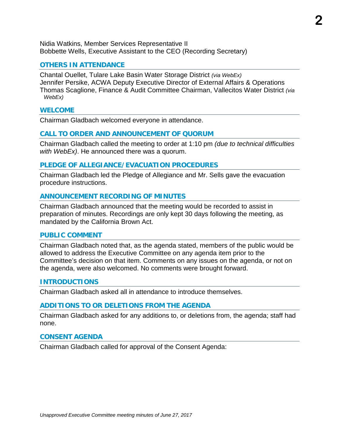Nidia Watkins, Member Services Representative II Bobbette Wells, Executive Assistant to the CEO (Recording Secretary)

### **OTHERS IN ATTENDANCE**

Chantal Ouellet, Tulare Lake Basin Water Storage District *(via WebEx)* Jennifer Persike, ACWA Deputy Executive Director of External Affairs & Operations Thomas Scaglione, Finance & Audit Committee Chairman, Vallecitos Water District *(via WebEx)*

#### **WELCOME**

Chairman Gladbach welcomed everyone in attendance.

### **CALL TO ORDER AND ANNOUNCEMENT OF QUORUM**

Chairman Gladbach called the meeting to order at 1:10 pm *(due to technical difficulties with WebEx)*. He announced there was a quorum.

### **PLEDGE OF ALLEGIANCE/EVACUATION PROCEDURES**

Chairman Gladbach led the Pledge of Allegiance and Mr. Sells gave the evacuation procedure instructions.

### **ANNOUNCEMENT RECORDING OF MINUTES**

Chairman Gladbach announced that the meeting would be recorded to assist in preparation of minutes. Recordings are only kept 30 days following the meeting, as mandated by the California Brown Act.

#### **PUBLIC COMMENT**

Chairman Gladbach noted that, as the agenda stated, members of the public would be allowed to address the Executive Committee on any agenda item prior to the Committee's decision on that item. Comments on any issues on the agenda, or not on the agenda, were also welcomed. No comments were brought forward.

#### **INTRODUCTIONS**

Chairman Gladbach asked all in attendance to introduce themselves.

#### **ADDITIONS TO OR DELETIONS FROM THE AGENDA**

Chairman Gladbach asked for any additions to, or deletions from, the agenda; staff had none.

#### **CONSENT AGENDA**

Chairman Gladbach called for approval of the Consent Agenda: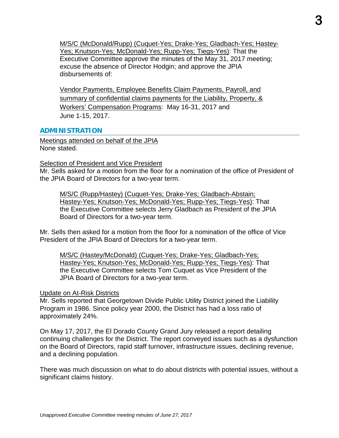M/S/C (McDonald/Rupp) (Cuquet-Yes; Drake-Yes; Gladbach-Yes; Hastey-Yes; Knutson-Yes; McDonald-Yes; Rupp-Yes; Tiegs-Yes): That the Executive Committee approve the minutes of the May 31, 2017 meeting; excuse the absence of Director Hodgin; and approve the JPIA disbursements of:

Vendor Payments, Employee Benefits Claim Payments, Payroll, and summary of confidential claims payments for the Liability, Property, & Workers' Compensation Programs: May 16-31, 2017 and June 1-15, 2017.

### **ADMINISTRATION**

Meetings attended on behalf of the JPIA None stated.

### **Selection of President and Vice President**

Mr. Sells asked for a motion from the floor for a nomination of the office of President of the JPIA Board of Directors for a two-year term.

M/S/C (Rupp/Hastey) (Cuquet-Yes; Drake-Yes; Gladbach-Abstain; Hastey-Yes; Knutson-Yes; McDonald-Yes; Rupp-Yes; Tiegs-Yes): That the Executive Committee selects Jerry Gladbach as President of the JPIA Board of Directors for a two-year term.

Mr. Sells then asked for a motion from the floor for a nomination of the office of Vice President of the JPIA Board of Directors for a two-year term.

M/S/C (Hastey/McDonald) (Cuquet-Yes; Drake-Yes; Gladbach-Yes; Hastey-Yes; Knutson-Yes; McDonald-Yes; Rupp-Yes; Tiegs-Yes): That the Executive Committee selects Tom Cuquet as Vice President of the JPIA Board of Directors for a two-year term.

### Update on At-Risk Districts

Mr. Sells reported that Georgetown Divide Public Utility District joined the Liability Program in 1986. Since policy year 2000, the District has had a loss ratio of approximately 24%.

On May 17, 2017, the El Dorado County Grand Jury released a report detailing continuing challenges for the District. The report conveyed issues such as a dysfunction on the Board of Directors, rapid staff turnover, infrastructure issues, declining revenue, and a declining population.

There was much discussion on what to do about districts with potential issues, without a significant claims history.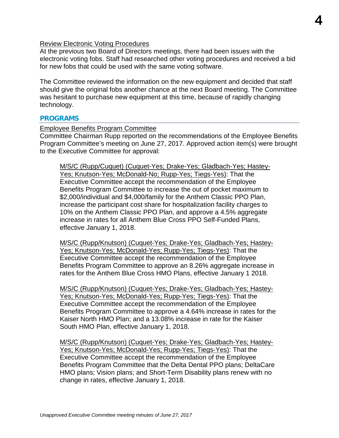### Review Electronic Voting Procedures

At the previous two Board of Directors meetings, there had been issues with the electronic voting fobs. Staff had researched other voting procedures and received a bid for new fobs that could be used with the same voting software.

The Committee reviewed the information on the new equipment and decided that staff should give the original fobs another chance at the next Board meeting. The Committee was hesitant to purchase new equipment at this time, because of rapidly changing technology.

#### **PROGRAMS**

#### Employee Benefits Program Committee

Committee Chairman Rupp reported on the recommendations of the Employee Benefits Program Committee's meeting on June 27, 2017. Approved action item(s) were brought to the Executive Committee for approval:

M/S/C (Rupp/Cuquet) (Cuquet-Yes; Drake-Yes; Gladbach-Yes; Hastey-Yes; Knutson-Yes; McDonald-No; Rupp-Yes; Tiegs-Yes): That the Executive Committee accept the recommendation of the Employee Benefits Program Committee to increase the out of pocket maximum to \$2,000/individual and \$4,000/family for the Anthem Classic PPO Plan, increase the participant cost share for hospitalization facility charges to 10% on the Anthem Classic PPO Plan, and approve a 4.5% aggregate increase in rates for all Anthem Blue Cross PPO Self-Funded Plans, effective January 1, 2018.

M/S/C (Rupp/Knutson) (Cuquet-Yes; Drake-Yes; Gladbach-Yes; Hastey-Yes; Knutson-Yes; McDonald-Yes; Rupp-Yes; Tiegs-Yes): That the Executive Committee accept the recommendation of the Employee Benefits Program Committee to approve an 8.26% aggregate increase in rates for the Anthem Blue Cross HMO Plans, effective January 1 2018.

M/S/C (Rupp/Knutson) (Cuquet-Yes; Drake-Yes; Gladbach-Yes; Hastey-Yes; Knutson-Yes; McDonald-Yes; Rupp-Yes; Tiegs-Yes): That the Executive Committee accept the recommendation of the Employee Benefits Program Committee to approve a 4.64% increase in rates for the Kaiser North HMO Plan; and a 13.08% increase in rate for the Kaiser South HMO Plan, effective January 1, 2018.

M/S/C (Rupp/Knutson) (Cuquet-Yes; Drake-Yes; Gladbach-Yes; Hastey-Yes; Knutson-Yes; McDonald-Yes; Rupp-Yes; Tiegs-Yes): That the Executive Committee accept the recommendation of the Employee Benefits Program Committee that the Delta Dental PPO plans; DeltaCare HMO plans; Vision plans; and Short-Term Disability plans renew with no change in rates, effective January 1, 2018.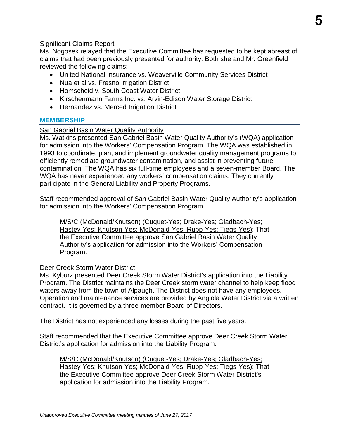### Significant Claims Report

Ms. Nogosek relayed that the Executive Committee has requested to be kept abreast of claims that had been previously presented for authority. Both she and Mr. Greenfield reviewed the following claims:

- United National Insurance vs. Weaverville Community Services District
- Nua et al vs. Fresno Irrigation District
- Homscheid v. South Coast Water District
- Kirschenmann Farms Inc. vs. Arvin-Edison Water Storage District
- Hernandez vs. Merced Irrigation District

### **MEMBERSHIP**

### San Gabriel Basin Water Quality Authority

Ms. Watkins presented San Gabriel Basin Water Quality Authority's (WQA) application for admission into the Workers' Compensation Program. The WQA was established in 1993 to coordinate, plan, and implement groundwater quality management programs to efficiently remediate groundwater contamination, and assist in preventing future contamination. The WQA has six full-time employees and a seven-member Board. The WQA has never experienced any workers' compensation claims. They currently participate in the General Liability and Property Programs.

Staff recommended approval of San Gabriel Basin Water Quality Authority's application for admission into the Workers' Compensation Program.

M/S/C (McDonald/Knutson) (Cuquet-Yes; Drake-Yes; Gladbach-Yes; Hastey-Yes; Knutson-Yes; McDonald-Yes; Rupp-Yes; Tiegs-Yes): That the Executive Committee approve San Gabriel Basin Water Quality Authority's application for admission into the Workers' Compensation Program.

### Deer Creek Storm Water District

Ms. Kyburz presented Deer Creek Storm Water District's application into the Liability Program. The District maintains the Deer Creek storm water channel to help keep flood waters away from the town of Alpaugh. The District does not have any employees. Operation and maintenance services are provided by Angiola Water District via a written contract. It is governed by a three-member Board of Directors.

The District has not experienced any losses during the past five years.

Staff recommended that the Executive Committee approve Deer Creek Storm Water District's application for admission into the Liability Program.

M/S/C (McDonald/Knutson) (Cuquet-Yes; Drake-Yes; Gladbach-Yes; Hastey-Yes; Knutson-Yes; McDonald-Yes; Rupp-Yes; Tiegs-Yes): That the Executive Committee approve Deer Creek Storm Water District's application for admission into the Liability Program.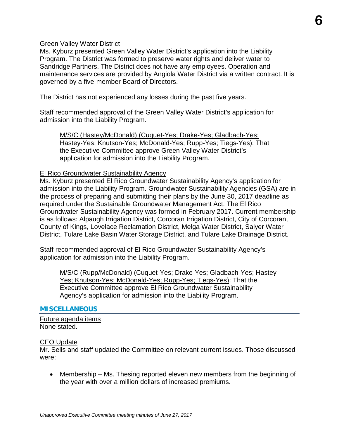Green Valley Water District

Ms. Kyburz presented Green Valley Water District's application into the Liability Program. The District was formed to preserve water rights and deliver water to Sandridge Partners. The District does not have any employees. Operation and maintenance services are provided by Angiola Water District via a written contract. It is governed by a five-member Board of Directors.

The District has not experienced any losses during the past five years.

Staff recommended approval of the Green Valley Water District's application for admission into the Liability Program.

M/S/C (Hastey/McDonald) (Cuquet-Yes; Drake-Yes; Gladbach-Yes; Hastey-Yes; Knutson-Yes; McDonald-Yes; Rupp-Yes; Tiegs-Yes): That the Executive Committee approve Green Valley Water District's application for admission into the Liability Program.

### El Rico Groundwater Sustainability Agency

Ms. Kyburz presented El Rico Groundwater Sustainability Agency's application for admission into the Liability Program. Groundwater Sustainability Agencies (GSA) are in the process of preparing and submitting their plans by the June 30, 2017 deadline as required under the Sustainable Groundwater Management Act. The El Rico Groundwater Sustainability Agency was formed in February 2017. Current membership is as follows: Alpaugh Irrigation District, Corcoran Irrigation District, City of Corcoran, County of Kings, Lovelace Reclamation District, Melga Water District, Salyer Water District, Tulare Lake Basin Water Storage District, and Tulare Lake Drainage District.

Staff recommended approval of El Rico Groundwater Sustainability Agency's application for admission into the Liability Program.

M/S/C (Rupp/McDonald) (Cuquet-Yes; Drake-Yes; Gladbach-Yes; Hastey-Yes; Knutson-Yes; McDonald-Yes; Rupp-Yes; Tiegs-Yes): That the Executive Committee approve El Rico Groundwater Sustainability Agency's application for admission into the Liability Program.

#### **MISCELLANEOUS**

Future agenda items None stated.

### CEO Update

Mr. Sells and staff updated the Committee on relevant current issues. Those discussed were:

• Membership – Ms. Thesing reported eleven new members from the beginning of the year with over a million dollars of increased premiums.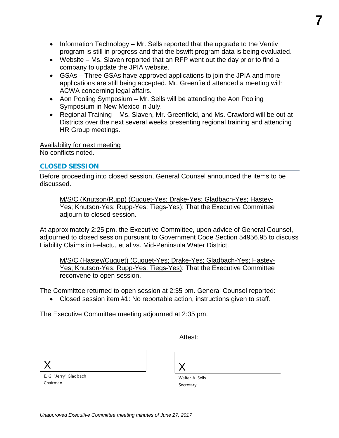**7**

- Information Technology Mr. Sells reported that the upgrade to the Ventiv program is still in progress and that the bswift program data is being evaluated.
- Website Ms. Slaven reported that an RFP went out the day prior to find a company to update the JPIA website.
- GSAs Three GSAs have approved applications to join the JPIA and more applications are still being accepted. Mr. Greenfield attended a meeting with ACWA concerning legal affairs.
- Aon Pooling Symposium Mr. Sells will be attending the Aon Pooling Symposium in New Mexico in July.
- Regional Training Ms. Slaven, Mr. Greenfield, and Ms. Crawford will be out at Districts over the next several weeks presenting regional training and attending HR Group meetings.

Availability for next meeting

No conflicts noted.

### **CLOSED SESSION**

Before proceeding into closed session, General Counsel announced the items to be discussed.

M/S/C (Knutson/Rupp) (Cuquet-Yes; Drake-Yes; Gladbach-Yes; Hastey-Yes; Knutson-Yes; Rupp-Yes; Tiegs-Yes): That the Executive Committee adjourn to closed session.

At approximately 2:25 pm, the Executive Committee, upon advice of General Counsel, adjourned to closed session pursuant to Government Code Section 54956.95 to discuss Liability Claims in Felactu, et al vs. Mid-Peninsula Water District.

M/S/C (Hastey/Cuquet) (Cuquet-Yes; Drake-Yes; Gladbach-Yes; Hastey-Yes; Knutson-Yes; Rupp-Yes; Tiegs-Yes): That the Executive Committee reconvene to open session.

The Committee returned to open session at 2:35 pm. General Counsel reported:

• Closed session item #1: No reportable action, instructions given to staff.

The Executive Committee meeting adjourned at 2:35 pm.

Attest:

X

E. G. "Jerry" Gladbach Chairman

X

Walter A. Sells Secretary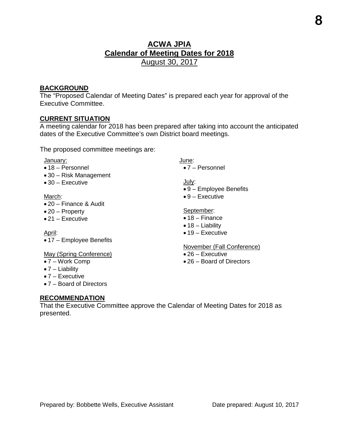### **ACWA JPIA Calendar of Meeting Dates for 2018**  August 30, 2017

### **BACKGROUND**

The "Proposed Calendar of Meeting Dates" is prepared each year for approval of the Executive Committee.

### **CURRENT SITUATION**

A meeting calendar for 2018 has been prepared after taking into account the anticipated dates of the Executive Committee's own District board meetings.

The proposed committee meetings are:

#### January:

- 18 Personnel
- 30 Risk Management
- 30 Executive

#### March:

- 20 Finance & Audit
- 20 Property
- 21 Executive

#### April:

• 17 – Employee Benefits

### May (Spring Conference)

- 7 Work Comp
- 7 Liability
- 7 Executive
- 7 Board of Directors

### June:

• 7 – Personnel

#### July:

- 9 Employee Benefits
- $\bullet$  9 Executive

#### September:

- 18 Finance
- $\bullet$  18 Liability
- $\bullet$  19 Executive

#### November (Fall Conference)

- 26 Executive
- 26 Board of Directors

### **RECOMMENDATION**

That the Executive Committee approve the Calendar of Meeting Dates for 2018 as presented.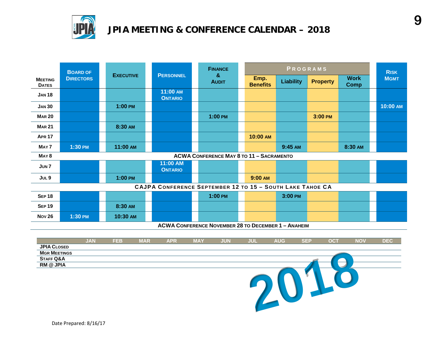

## **JPIA MEETING & CONFERENCE CALENDAR – 2018**

|                                                            | <b>BOARD OF</b>  |                  |  |                                                           | <b>FINANCE</b>    |                                                 | PROGRAMS                |                  |                 |                            | <b>RISK</b> |          |
|------------------------------------------------------------|------------------|------------------|--|-----------------------------------------------------------|-------------------|-------------------------------------------------|-------------------------|------------------|-----------------|----------------------------|-------------|----------|
| <b>MEETING</b><br><b>DATES</b>                             | <b>DIRECTORS</b> | <b>EXECUTIVE</b> |  | <b>PERSONNEL</b>                                          | &<br><b>AUDIT</b> |                                                 | Emp.<br><b>Benefits</b> | <b>Liability</b> | <b>Property</b> | <b>Work</b><br><b>Comp</b> | <b>MGMT</b> |          |
| <b>JAN 18</b>                                              |                  |                  |  | 11:00 AM<br><b>ONTARIO</b>                                |                   |                                                 |                         |                  |                 |                            |             |          |
| <b>JAN 30</b>                                              |                  | $1:00$ PM        |  |                                                           |                   |                                                 |                         |                  |                 |                            |             | 10:00 AM |
| <b>MAR 20</b>                                              |                  |                  |  |                                                           |                   | $1:00$ PM                                       |                         |                  |                 | 3:00 PM                    |             |          |
| <b>MAR 21</b>                                              |                  | 8:30 AM          |  |                                                           |                   |                                                 |                         |                  |                 |                            |             |          |
| <b>APR 17</b>                                              |                  |                  |  |                                                           |                   |                                                 |                         | 10:00 AM         |                 |                            |             |          |
| MAY <sub>7</sub>                                           | 1:30 PM          | 11:00 AM         |  |                                                           |                   |                                                 |                         |                  | 9:45 AM         |                            | 8:30 AM     |          |
| MAY <sub>8</sub>                                           |                  |                  |  |                                                           |                   | <b>ACWA CONFERENCE MAY 8 TO 11 - SACRAMENTO</b> |                         |                  |                 |                            |             |          |
| JUN <sub>7</sub>                                           |                  |                  |  | 11:00 AM<br><b>ONTARIO</b>                                |                   |                                                 |                         |                  |                 |                            |             |          |
| JUL 9                                                      |                  | $1:00$ PM        |  |                                                           |                   |                                                 |                         | 9:00 AM          |                 |                            |             |          |
|                                                            |                  |                  |  | CAJPA CONFERENCE SEPTEMBER 12 TO 15 - SOUTH LAKE TAHOE CA |                   |                                                 |                         |                  |                 |                            |             |          |
| <b>SEP 18</b>                                              |                  |                  |  |                                                           |                   | $1:00$ PM                                       |                         |                  | 3:00 PM         |                            |             |          |
| <b>SEP 19</b>                                              |                  | 8:30 AM          |  |                                                           |                   |                                                 |                         |                  |                 |                            |             |          |
| <b>Nov 26</b>                                              | 1:30 PM          | 10:30 AM         |  |                                                           |                   |                                                 |                         |                  |                 |                            |             |          |
| <b>ACWA CONFERENCE NOVEMBER 28 TO DECEMBER 1 - ANAHEIM</b> |                  |                  |  |                                                           |                   |                                                 |                         |                  |                 |                            |             |          |

|                      | <b>JAN</b> | <b>FEB</b> | <b>MAR</b> | <b>APR</b> | <b>MAY</b> | <b>JUN</b> | <b>JUL</b> | <b>AUG</b> | SEP | <b>OCT</b> | <b>NOV</b> | <b>DEC</b> |
|----------------------|------------|------------|------------|------------|------------|------------|------------|------------|-----|------------|------------|------------|
| <b>JPIA CLOSED</b>   |            |            |            |            |            |            |            |            |     |            |            |            |
| <b>MGR MEETINGS</b>  |            |            |            |            |            |            |            |            |     |            |            |            |
| <b>STAFF Q&amp;A</b> |            |            |            |            |            |            |            |            |     |            |            |            |
| <b>RM @ JPIA</b>     |            |            |            |            |            |            |            |            |     |            |            |            |
|                      |            |            |            |            |            |            |            |            |     |            |            |            |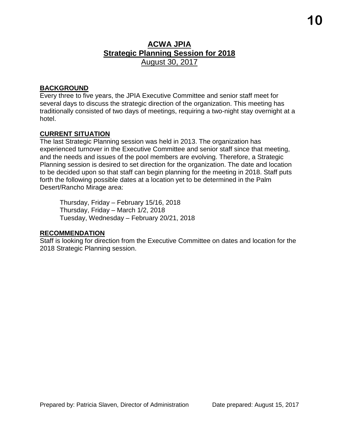### **ACWA JPIA Strategic Planning Session for 2018** August 30, 2017

### **BACKGROUND**

Every three to five years, the JPIA Executive Committee and senior staff meet for several days to discuss the strategic direction of the organization. This meeting has traditionally consisted of two days of meetings, requiring a two-night stay overnight at a hotel.

### **CURRENT SITUATION**

The last Strategic Planning session was held in 2013. The organization has experienced turnover in the Executive Committee and senior staff since that meeting, and the needs and issues of the pool members are evolving. Therefore, a Strategic Planning session is desired to set direction for the organization. The date and location to be decided upon so that staff can begin planning for the meeting in 2018. Staff puts forth the following possible dates at a location yet to be determined in the Palm Desert/Rancho Mirage area:

Thursday, Friday – February 15/16, 2018 Thursday, Friday – March 1/2, 2018 Tuesday, Wednesday – February 20/21, 2018

### **RECOMMENDATION**

Staff is looking for direction from the Executive Committee on dates and location for the 2018 Strategic Planning session.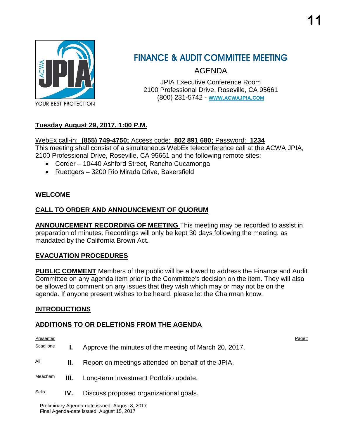

## **FINANCE & AUDIT COMMITTEE MEETING**

AGENDA

JPIA Executive Conference Room 2100 Professional Drive, Roseville, CA 95661 (800) 231-5742 - **WWW.[ACWAJPIA](http://www.acwajpia.com/).COM**

### **Tuesday August 29, 2017, 1:00 P.M.**

WebEx call-in: **(855) 749-4750;** Access code: **802 891 680;** Password: **1234** This meeting shall consist of a simultaneous WebEx teleconference call at the ACWA JPIA,

- 2100 Professional Drive, Roseville, CA 95661 and the following remote sites:
	- Corder 10440 Ashford Street, Rancho Cucamonga
	- Ruettgers 3200 Rio Mirada Drive, Bakersfield

### **WELCOME**

### **CALL TO ORDER AND ANNOUNCEMENT OF QUORUM**

**ANNOUNCEMENT RECORDING OF MEETING** This meeting may be recorded to assist in preparation of minutes. Recordings will only be kept 30 days following the meeting, as mandated by the California Brown Act.

### **EVACUATION PROCEDURES**

**PUBLIC COMMENT** Members of the public will be allowed to address the Finance and Audit Committee on any agenda item prior to the Committee's decision on the item. They will also be allowed to comment on any issues that they wish which may or may not be on the agenda. If anyone present wishes to be heard, please let the Chairman know.

### **INTRODUCTIONS**

### **ADDITIONS TO OR DELETIONS FROM THE AGENDA**

Presenter Presenter Page to the Control of the Control of the Control of the Control of the Control of the Control of the Control of the Control of the Control of the Control of the Control of the Control of the Control of

| Scaglione |     | Approve the minutes of the meeting of March 20, 2017. |
|-----------|-----|-------------------------------------------------------|
| All       | н.  | Report on meetings attended on behalf of the JPIA.    |
| Meacham   | Ш.  | Long-term Investment Portfolio update.                |
| Sells     | IV. | Discuss proposed organizational goals.                |

Preliminary Agenda-date issued: August 8, 2017 Final Agenda-date issued: August 15, 2017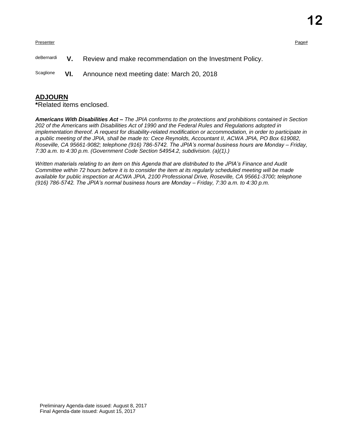Presenter Presenter Page#

deBernardi **V.** Review and make recommendation on the Investment Policy.

Scaglione **VI.** Announce next meeting date: March 20, 2018

#### **ADJOURN**

**\***Related items enclosed.

*Americans With Disabilities Act – The JPIA conforms to the protections and prohibitions contained in Section 202 of the Americans with Disabilities Act of 1990 and the Federal Rules and Regulations adopted in implementation thereof. A request for disability-related modification or accommodation, in order to participate in a public meeting of the JPIA, shall be made to: Cece Reynolds, Accountant II, ACWA JPIA, PO Box 619082, Roseville, CA 95661-9082; telephone (916) 786-5742. The JPIA's normal business hours are Monday – Friday, 7:30 a.m. to 4:30 p.m. (Government Code Section 54954.2, subdivision. (a)(1).)*

*Written materials relating to an item on this Agenda that are distributed to the JPIA's Finance and Audit Committee within 72 hours before it is to consider the item at its regularly scheduled meeting will be made available for public inspection at ACWA JPIA, 2100 Professional Drive, Roseville, CA 95661-3700; telephone (916) 786-5742. The JPIA's normal business hours are Monday – Friday, 7:30 a.m. to 4:30 p.m.*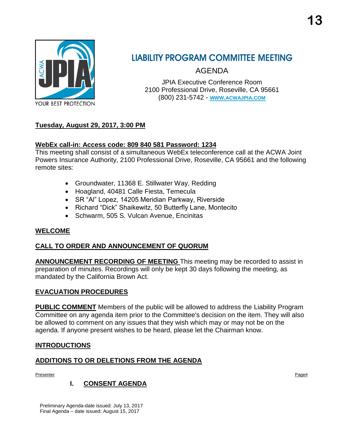

## **LIABILITY PROGRAM COMMITTEE MEETING**

AGENDA

JPIA Executive Conference Room 2100 Professional Drive, Roseville, CA 95661 (800) 231-5742 - **WWW.[ACWAJPIA](http://www.acwajpia.com/).COM**

### **Tuesday, August 29, 2017, 3:00 PM**

### **WebEx call-in: Access code: 809 840 581 Password: 1234**

This meeting shall consist of a simultaneous WebEx teleconference call at the ACWA Joint Powers Insurance Authority, 2100 Professional Drive, Roseville, CA 95661 and the following remote sites:

- Groundwater, 11368 E. Stillwater Way, Redding
- Hoagland, 40481 Calle Fiesta, Temecula
- SR "Al" Lopez, 14205 Meridian Parkway, Riverside
- Richard "Dick" Shaikewitz, 50 Butterfly Lane, Montecito
- Schwarm, 505 S. Vulcan Avenue, Encinitas

### **WELCOME**

### **CALL TO ORDER AND ANNOUNCEMENT OF QUORUM**

**ANNOUNCEMENT RECORDING OF MEETING** This meeting may be recorded to assist in preparation of minutes. Recordings will only be kept 30 days following the meeting, as mandated by the California Brown Act.

### **EVACUATION PROCEDURES**

**PUBLIC COMMENT** Members of the public will be allowed to address the Liability Program Committee on any agenda item prior to the Committee's decision on the item. They will also be allowed to comment on any issues that they wish which may or may not be on the agenda. If anyone present wishes to be heard, please let the Chairman know.

### **INTRODUCTIONS**

### **ADDITIONS TO OR DELETIONS FROM THE AGENDA**

Presenter Presenter Page#

### **I. CONSENT AGENDA**

Preliminary Agenda-date issued: July 13, 2017 Final Agenda – date issued: August 15, 2017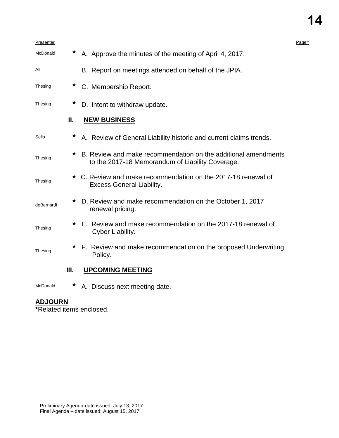### Presenter Presenter Page# McDonald **\*** A. Approve the minutes of the meeting of April 4, 2017. All B. Report on meetings attended on behalf of the JPIA. Thesing **\*** C. Membership Report. Thesing **\*** D. Intent to withdraw update. **II. NEW BUSINESS** Sells **\*** A. Review of General Liability historic and current claims trends. Thesing **\*** B. Review and make recommendation on the additional amendments to the 2017-18 Memorandum of Liability Coverage. Thesing **\*** C. Review and make recommendation on the 2017-18 renewal of Excess General Liability. deBernardi **\*** D. Review and make recommendation on the October 1, 2017 renewal pricing. Thesing **\*** E. Review and make recommendation on the 2017-18 renewal of Cyber Liability. Thesing **\*** F. Review and make recommendation on the proposed Underwriting Policy. **III. UPCOMING MEETING**

McDonald **\*** A. Discuss next meeting date.

### **ADJOURN**

**\***Related items enclosed.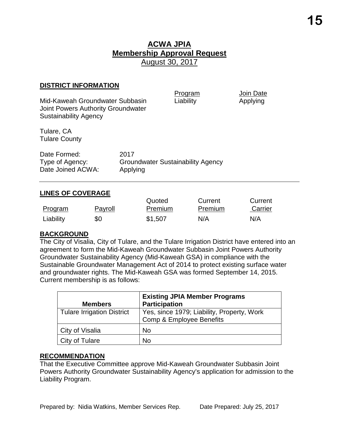Program Join Date

#### **DISTRICT INFORMATION**

| Mid-Kaweah Groundwater Subbasin<br>Joint Powers Authority Groundwater<br><b>Sustainability Agency</b> |                                                              | Program<br>Liability | Join Date<br>Applying |
|-------------------------------------------------------------------------------------------------------|--------------------------------------------------------------|----------------------|-----------------------|
| Tulare, CA<br><b>Tulare County</b>                                                                    |                                                              |                      |                       |
| Date Formed:<br>Type of Agency:<br>Date Joined ACWA:                                                  | 2017<br><b>Groundwater Sustainability Agency</b><br>Applying |                      |                       |

### **LINES OF COVERAGE**

|           |         | Quoted  | Current | Current |
|-----------|---------|---------|---------|---------|
| Program   | Payroll | Premium | Premium | Carrier |
| Liability | \$0     | \$1,507 | N/A     | N/A     |

### **BACKGROUND**

The City of Visalia, City of Tulare, and the Tulare Irrigation District have entered into an agreement to form the Mid-Kaweah Groundwater Subbasin Joint Powers Authority Groundwater Sustainability Agency (Mid-Kaweah GSA) in compliance with the Sustainable Groundwater Management Act of 2014 to protect existing surface water and groundwater rights. The Mid-Kaweah GSA was formed September 14, 2015. Current membership is as follows:

| <b>Members</b>                    | <b>Existing JPIA Member Programs</b><br><b>Participation</b>           |
|-----------------------------------|------------------------------------------------------------------------|
| <b>Tulare Irrigation District</b> | Yes, since 1979; Liability, Property, Work<br>Comp & Employee Benefits |
| City of Visalia                   | <b>No</b>                                                              |
| City of Tulare                    | No                                                                     |

### **RECOMMENDATION**

That the Executive Committee approve Mid-Kaweah Groundwater Subbasin Joint Powers Authority Groundwater Sustainability Agency's application for admission to the Liability Program.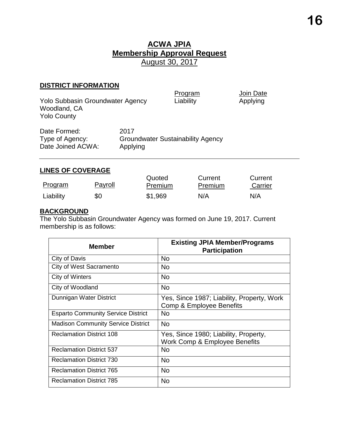### **DISTRICT INFORMATION**

| <b>Yolo Subbasin Groundwater Agency</b><br>Woodland, CA<br><b>Yolo County</b> |                  | Program<br>Liability                     | Join Date<br>Applying |
|-------------------------------------------------------------------------------|------------------|------------------------------------------|-----------------------|
| Date Formed:<br>Type of Agency:<br>Date Joined ACWA:                          | 2017<br>Applying | <b>Groundwater Sustainability Agency</b> |                       |

### **LINES OF COVERAGE**

| Program   | Payroll | Quoted<br>Premium | Current<br>Premium | Current<br>Carrier |
|-----------|---------|-------------------|--------------------|--------------------|
| Liability | \$0     | \$1,969           | N/A                | N/A                |

### **BACKGROUND**

The Yolo Subbasin Groundwater Agency was formed on June 19, 2017. Current membership is as follows:

| Member                                    | <b>Existing JPIA Member/Programs</b><br><b>Participation</b>                      |
|-------------------------------------------|-----------------------------------------------------------------------------------|
| City of Davis                             | No                                                                                |
| City of West Sacramento                   | No                                                                                |
| City of Winters                           | No                                                                                |
| City of Woodland                          | <b>No</b>                                                                         |
| Dunnigan Water District                   | Yes, Since 1987; Liability, Property, Work<br><b>Comp &amp; Employee Benefits</b> |
| <b>Esparto Community Service District</b> | No                                                                                |
| <b>Madison Community Service District</b> | <b>No</b>                                                                         |
| <b>Reclamation District 108</b>           | Yes, Since 1980; Liability, Property,<br>Work Comp & Employee Benefits            |
| <b>Reclamation District 537</b>           | No                                                                                |
| <b>Reclamation District 730</b>           | <b>No</b>                                                                         |
| <b>Reclamation District 765</b>           | No                                                                                |
| <b>Reclamation District 785</b>           | No                                                                                |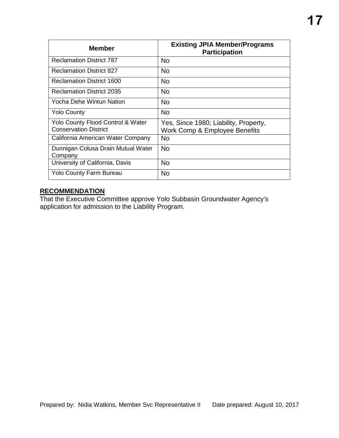| <b>Member</b>                                                                | <b>Existing JPIA Member/Programs</b><br><b>Participation</b>           |
|------------------------------------------------------------------------------|------------------------------------------------------------------------|
| <b>Reclamation District 787</b>                                              | No                                                                     |
| <b>Reclamation District 827</b>                                              | No.                                                                    |
| <b>Reclamation District 1600</b>                                             | No.                                                                    |
| <b>Reclamation District 2035</b>                                             | No.                                                                    |
| Yocha Dehe Wintun Nation                                                     | <b>No</b>                                                              |
| <b>Yolo County</b>                                                           | <b>No</b>                                                              |
| <b>Yolo County Flood Control &amp; Water</b><br><b>Conservation District</b> | Yes, Since 1980; Liability, Property,<br>Work Comp & Employee Benefits |
| California American Water Company                                            | No.                                                                    |
| Dunnigan Colusa Drain Mutual Water<br>Company                                | <b>No</b>                                                              |
| University of California, Davis                                              | <b>No</b>                                                              |
| <b>Yolo County Farm Bureau</b>                                               | No                                                                     |

### **RECOMMENDATION**

That the Executive Committee approve Yolo Subbasin Groundwater Agency's application for admission to the Liability Program.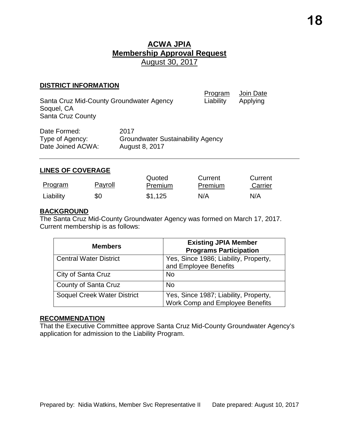#### **DISTRICT INFORMATION**

| Santa Cruz Mid-County Groundwater Agency<br>Soquel, CA<br><b>Santa Cruz County</b> |                                                    | Program<br>Liability | Join Date<br>Applying |
|------------------------------------------------------------------------------------|----------------------------------------------------|----------------------|-----------------------|
| Date Formed:<br>$T_{1}$ mo of $\Lambda$ appears                                    | 2017<br>$C$ roundwater $C$ ustoinability $A$ gonov |                      |                       |

| Date Formed:      | ZU 17                                    |
|-------------------|------------------------------------------|
| Type of Agency:   | <b>Groundwater Sustainability Agency</b> |
| Date Joined ACWA: | August 8, 2017                           |

### **LINES OF COVERAGE**

|           |                | Quoted         | Current        | Current |
|-----------|----------------|----------------|----------------|---------|
| Program   | <u>Payroll</u> | <b>Premium</b> | <b>Premium</b> | Carrier |
| Liability | \$0            | \$1,125        | N/A            | N/A     |

### **BACKGROUND**

The Santa Cruz Mid-County Groundwater Agency was formed on March 17, 2017. Current membership is as follows:

| <b>Members</b>                     | <b>Existing JPIA Member</b><br><b>Programs Participation</b>             |
|------------------------------------|--------------------------------------------------------------------------|
| <b>Central Water District</b>      | Yes, Since 1986; Liability, Property,<br>and Employee Benefits           |
| City of Santa Cruz                 | <b>No</b>                                                                |
| County of Santa Cruz               | <b>No</b>                                                                |
| <b>Soquel Creek Water District</b> | Yes, Since 1987; Liability, Property,<br>Work Comp and Employee Benefits |

#### **RECOMMENDATION**

That the Executive Committee approve Santa Cruz Mid-County Groundwater Agency's application for admission to the Liability Program.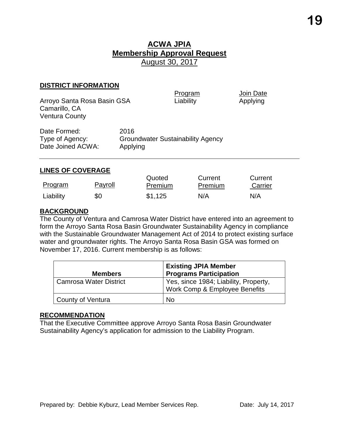#### **DISTRICT INFORMATION**

Arroyo Santa Rosa Basin GSA Liability Liability Applying Camarillo, CA Ventura County

Program Join Date

| Date Formed:      | 2016                                     |
|-------------------|------------------------------------------|
| Type of Agency:   | <b>Groundwater Sustainability Agency</b> |
| Date Joined ACWA: | Applying                                 |

### **LINES OF COVERAGE**

| Program   | Payroll | Quoted<br>Premium | Current<br>Premium | Current<br>Carrier |
|-----------|---------|-------------------|--------------------|--------------------|
| Liability | \$0     | \$1,125           | N/A                | N/A                |

### **BACKGROUND**

The County of Ventura and Camrosa Water District have entered into an agreement to form the Arroyo Santa Rosa Basin Groundwater Sustainability Agency in compliance with the Sustainable Groundwater Management Act of 2014 to protect existing surface water and groundwater rights. The Arroyo Santa Rosa Basin GSA was formed on November 17, 2016. Current membership is as follows:

| <b>Members</b>                | <b>Existing JPIA Member</b><br><b>Programs Participation</b>           |
|-------------------------------|------------------------------------------------------------------------|
| <b>Camrosa Water District</b> | Yes, since 1984; Liability, Property,<br>Work Comp & Employee Benefits |
| County of Ventura             | <b>No</b>                                                              |

#### **RECOMMENDATION**

That the Executive Committee approve Arroyo Santa Rosa Basin Groundwater Sustainability Agency's application for admission to the Liability Program.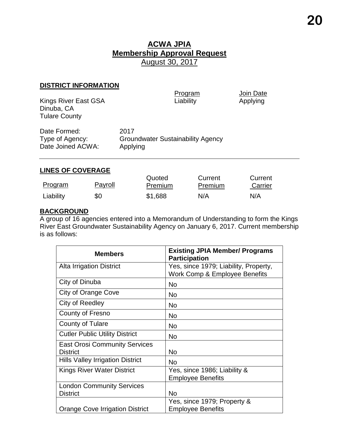### **DISTRICT INFORMATION**

Kings River East GSA Dinuba, CA Tulare County

Program Join Date<br>
Liability Applying

| Date Formed:                         | 2017                                                 |
|--------------------------------------|------------------------------------------------------|
| Type of Agency:<br>Date Joined ACWA: | <b>Groundwater Sustainability Agency</b><br>Applying |
|                                      |                                                      |

### **LINES OF COVERAGE**

|           |         | Quoted         | Current | Current |
|-----------|---------|----------------|---------|---------|
| Program   | Payroll | <b>Premium</b> | Premium | Carrier |
| Liability | \$0     | \$1,688        | N/A     | N/A     |

### **BACKGROUND**

A group of 16 agencies entered into a Memorandum of Understanding to form the Kings River East Groundwater Sustainability Agency on January 6, 2017. Current membership is as follows:

| <b>Members</b>                                          | <b>Existing JPIA Member/ Programs</b><br><b>Participation</b>          |
|---------------------------------------------------------|------------------------------------------------------------------------|
| <b>Alta Irrigation District</b>                         | Yes, since 1979; Liability, Property,<br>Work Comp & Employee Benefits |
| City of Dinuba                                          | <b>No</b>                                                              |
| City of Orange Cove                                     | No                                                                     |
| City of Reedley                                         | No                                                                     |
| County of Fresno                                        | No                                                                     |
| <b>County of Tulare</b>                                 | <b>No</b>                                                              |
| <b>Cutler Public Utility District</b>                   | <b>No</b>                                                              |
| <b>East Orosi Community Services</b><br><b>District</b> | No                                                                     |
| <b>Hills Valley Irrigation District</b>                 | <b>No</b>                                                              |
| <b>Kings River Water District</b>                       | Yes, since 1986; Liability &<br><b>Employee Benefits</b>               |
| <b>London Community Services</b>                        |                                                                        |
| <b>District</b>                                         | <b>No</b>                                                              |
|                                                         | Yes, since 1979; Property &                                            |
| <b>Orange Cove Irrigation District</b>                  | <b>Employee Benefits</b>                                               |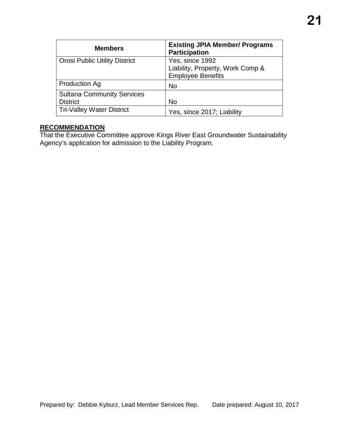| <b>Members</b>                       | <b>Existing JPIA Member/ Programs</b><br><b>Participation</b> |
|--------------------------------------|---------------------------------------------------------------|
| <b>Orosi Public Utility District</b> | Yes, since 1992                                               |
|                                      | Liability, Property, Work Comp &                              |
|                                      | <b>Employee Benefits</b>                                      |
| <b>Production Ag</b>                 | <b>No</b>                                                     |
| <b>Sultana Community Services</b>    |                                                               |
| <b>District</b>                      | No                                                            |
| <b>Tri-Valley Water District</b>     | Yes, since 2017; Liability                                    |

### **RECOMMENDATION**

That the Executive Committee approve Kings River East Groundwater Sustainability Agency's application for admission to the Liability Program.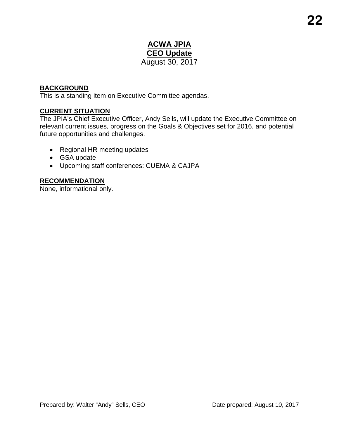### **ACWA JPIA CEO Update** August 30, 2017

### **BACKGROUND**

This is a standing item on Executive Committee agendas.

### **CURRENT SITUATION**

The JPIA's Chief Executive Officer, Andy Sells, will update the Executive Committee on relevant current issues, progress on the Goals & Objectives set for 2016, and potential future opportunities and challenges.

- Regional HR meeting updates
- GSA update
- Upcoming staff conferences: CUEMA & CAJPA

### **RECOMMENDATION**

None, informational only.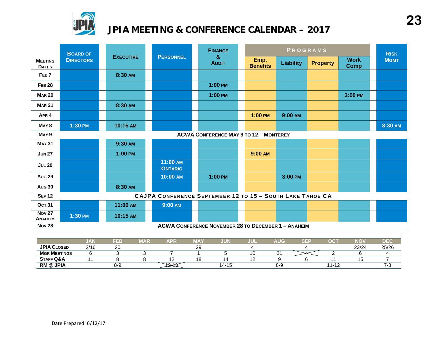

## **JPIA MEETING & CONFERENCE CALENDAR – 2017**

|                                 | <b>BOARD OF</b>                               | <b>EXECUTIVE</b> |                                                           |  | <b>FINANCE</b>                                             |  | PROGRAMS                |                  |                 |                            | <b>RISK</b> |
|---------------------------------|-----------------------------------------------|------------------|-----------------------------------------------------------|--|------------------------------------------------------------|--|-------------------------|------------------|-----------------|----------------------------|-------------|
| <b>MEETING</b><br><b>DATES</b>  | <b>DIRECTORS</b>                              |                  | <b>PERSONNEL</b>                                          |  | &<br><b>AUDIT</b>                                          |  | Emp.<br><b>Benefits</b> | <b>Liability</b> | <b>Property</b> | <b>Work</b><br><b>Comp</b> | <b>MGMT</b> |
| FEB <sub>7</sub>                |                                               | 8:30 AM          |                                                           |  |                                                            |  |                         |                  |                 |                            |             |
| <b>FEB 28</b>                   |                                               |                  |                                                           |  | $1:00 \text{ PM}$                                          |  |                         |                  |                 |                            |             |
| <b>MAR 20</b>                   |                                               |                  |                                                           |  | $1:00$ PM                                                  |  |                         |                  |                 | 3:00 PM                    |             |
| <b>MAR 21</b>                   |                                               | 8:30 AM          |                                                           |  |                                                            |  |                         |                  |                 |                            |             |
| APR <sub>4</sub>                |                                               |                  |                                                           |  |                                                            |  | $1:00$ PM               | 9:00 AM          |                 |                            |             |
| MAY <sub>8</sub>                | 1:30 PM                                       | 10:15 AM         |                                                           |  |                                                            |  |                         |                  |                 |                            | 8:30 AM     |
| MAY <sub>9</sub>                | <b>ACWA CONFERENCE MAY 9 TO 12 - MONTEREY</b> |                  |                                                           |  |                                                            |  |                         |                  |                 |                            |             |
| <b>MAY 31</b>                   |                                               | 9:30 AM          |                                                           |  |                                                            |  |                         |                  |                 |                            |             |
| <b>JUN 27</b>                   |                                               | 1:00 PM          |                                                           |  |                                                            |  | 9:00 AM                 |                  |                 |                            |             |
| <b>JUL 20</b>                   |                                               |                  | 11:00 AM<br><b>ONTARIO</b>                                |  |                                                            |  |                         |                  |                 |                            |             |
| <b>Aug 29</b>                   |                                               |                  | 10:00 AM                                                  |  | $1:00$ PM                                                  |  |                         | 3:00 PM          |                 |                            |             |
| <b>Aug 30</b>                   |                                               | 8:30 AM          |                                                           |  |                                                            |  |                         |                  |                 |                            |             |
| <b>SEP 12</b>                   |                                               |                  | CAJPA CONFERENCE SEPTEMBER 12 TO 15 - SOUTH LAKE TAHOE CA |  |                                                            |  |                         |                  |                 |                            |             |
| <b>OCT 31</b>                   |                                               | 11:00 AM         | 9:00 AM                                                   |  |                                                            |  |                         |                  |                 |                            |             |
| <b>Nov 27</b><br><b>ANAHEIM</b> | 1:30 PM                                       | 10:15 AM         |                                                           |  |                                                            |  |                         |                  |                 |                            |             |
| <b>Nov 28</b>                   |                                               |                  |                                                           |  | <b>ACWA CONFERENCE NOVEMBER 28 TO DECEMBER 1 - ANAHEIM</b> |  |                         |                  |                 |                            |             |

|                      | ,,,,,<br>$\mathbf{v}$ | FEB          | MAR | APF | ----<br>lΑ  | JUN       | JUL | <b>AUG</b> | $\sim$ $ \sim$ | $\sim$<br>- 13    | <b>NO</b> | DE <sub>(</sub> |
|----------------------|-----------------------|--------------|-----|-----|-------------|-----------|-----|------------|----------------|-------------------|-----------|-----------------|
| <b>JPIA CLOSED</b>   | 2/16                  | $\sim$<br>∠∪ |     |     | $\sim$<br>ت |           |     |            |                |                   | 23/24     | 25/26           |
| <b>MGR MEETINGS</b>  |                       |              |     |     |             |           |     | <u>_</u>   |                |                   |           |                 |
| <b>STAFF Q&amp;A</b> |                       |              |     |     |             |           |     |            |                |                   | יי        |                 |
| <b>RM @ JPIA</b>     |                       | 8-9          |     |     |             | $14 - 1.$ |     | 8-5        |                | 44<br><b>Le</b> 1 |           | -0              |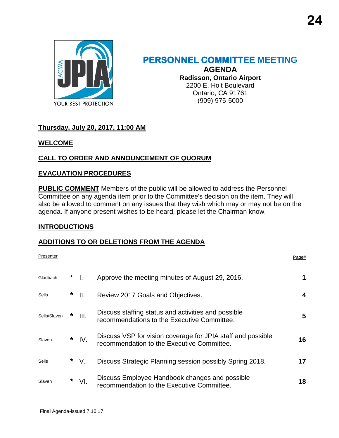

### **PERSONNEL COMMITTEE MEETING AGENDA Radisson, Ontario Airport** 2200 E. Holt Boulevard Ontario, CA 91761

(909) 975-5000

### **Thursday, July 20, 2017, 11:00 AM**

### **WELCOME**

### **CALL TO ORDER AND ANNOUNCEMENT OF QUORUM**

### **EVACUATION PROCEDURES**

**PUBLIC COMMENT** Members of the public will be allowed to address the Personnel Committee on any agenda item prior to the Committee's decision on the item. They will also be allowed to comment on any issues that they wish which may or may not be on the agenda. If anyone present wishes to be heard, please let the Chairman know.

### **INTRODUCTIONS**

### **ADDITIONS TO OR DELETIONS FROM THE AGENDA**

| Presenter    |   |         |                                                                                                           | Page# |
|--------------|---|---------|-----------------------------------------------------------------------------------------------------------|-------|
| Gladbach     |   | - 1.    | Approve the meeting minutes of August 29, 2016.                                                           | 1     |
| <b>Sells</b> |   | $*$ II. | Review 2017 Goals and Objectives.                                                                         | 4     |
| Sells/Slaven | * | III.    | Discuss staffing status and activities and possible<br>recommendations to the Executive Committee.        | 5     |
| Slaven       |   | $*$ IV. | Discuss VSP for vision coverage for JPIA staff and possible<br>recommendation to the Executive Committee. | 16    |
| Sells        |   | $*$ V.  | Discuss Strategic Planning session possibly Spring 2018.                                                  | 17    |
| Slaven       | * | VI.     | Discuss Employee Handbook changes and possible<br>recommendation to the Executive Committee.              | 18    |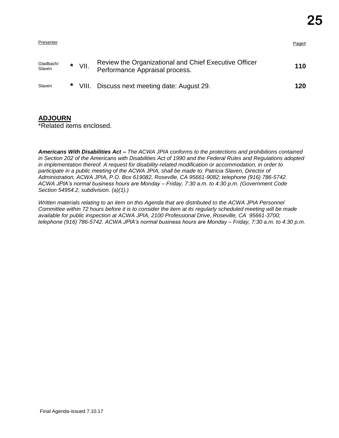|          |      |                                                                                         | Page# |
|----------|------|-----------------------------------------------------------------------------------------|-------|
| $^\star$ | VII. | Review the Organizational and Chief Executive Officer<br>Performance Appraisal process. | 110   |
| $\ast$   |      | Discuss next meeting date: August 29.                                                   | 120   |
|          |      | VIII.                                                                                   |       |

### **ADJOURN**

\*Related items enclosed.

*Americans With Disabilities Act – The ACWA JPIA conforms to the protections and prohibitions contained in Section 202 of the Americans with Disabilities Act of 1990 and the Federal Rules and Regulations adopted in implementation thereof. A request for disability-related modification or accommodation, in order to participate in a public meeting of the ACWA JPIA, shall be made to: Patricia Slaven, Director of Administration, ACWA JPIA, P.O. Box 619082, Roseville, CA 95661-9082; telephone (916) 786-5742. ACWA JPIA's normal business hours are Monday – Friday, 7:30 a.m. to 4:30 p.m. (Government Code Section 54954.2, subdivision. (a)(1).)*

*Written materials relating to an item on this Agenda that are distributed to the ACWA JPIA Personnel Committee within 72 hours before it is to consider the item at its regularly scheduled meeting will be made available for public inspection at ACWA JPIA, 2100 Professional Drive, Roseville, CA 95661-3700; telephone (916) 786-5742. ACWA JPIA's normal business hours are Monday – Friday, 7:30 a.m. to 4:30 p.m.*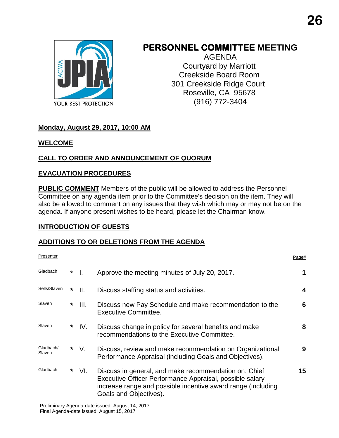

## **PERSONNEL COMMITTEE MEETING**

AGENDA Courtyard by Marriott Creekside Board Room 301 Creekside Ridge Court Roseville, CA 95678 (916) 772-3404

### **Monday, August 29, 2017, 10:00 AM**

### **WELCOME**

### **CALL TO ORDER AND ANNOUNCEMENT OF QUORUM**

### **EVACUATION PROCEDURES**

**PUBLIC COMMENT** Members of the public will be allowed to address the Personnel Committee on any agenda item prior to the Committee's decision on the item. They will also be allowed to comment on any issues that they wish which may or may not be on the agenda. If anyone present wishes to be heard, please let the Chairman know.

### **INTRODUCTION OF GUESTS**

### **ADDITIONS TO OR DELETIONS FROM THE AGENDA**

| Presenter           |         |      |                                                                                                                                                                                                             | Page# |
|---------------------|---------|------|-------------------------------------------------------------------------------------------------------------------------------------------------------------------------------------------------------------|-------|
| Gladbach            | $\star$ | - I. | Approve the meeting minutes of July 20, 2017.                                                                                                                                                               | 1     |
| Sells/Slaven        | *       | II.  | Discuss staffing status and activities.                                                                                                                                                                     | 4     |
| Slaven              | *       | III. | Discuss new Pay Schedule and make recommendation to the<br>Executive Committee.                                                                                                                             | 6     |
| Slaven              | *       | IV.  | Discuss change in policy for several benefits and make<br>recommendations to the Executive Committee.                                                                                                       | 8     |
| Gladbach/<br>Slaven | *       | V.   | Discuss, review and make recommendation on Organizational<br>Performance Appraisal (including Goals and Objectives).                                                                                        | 9     |
| Gladbach            | *       | VI.  | Discuss in general, and make recommendation on, Chief<br>Executive Officer Performance Appraisal, possible salary<br>increase range and possible incentive award range (including<br>Goals and Objectives). | 15    |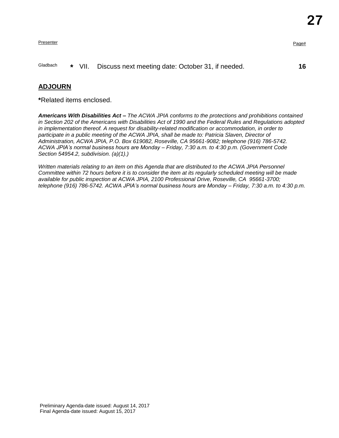Presenter Presenter Page and the Page and the Page and the Page and the Page and the Page and the Page and the Page and the Page and the Page and the Page and the Page and the Page and the Page and the Page and the Page an

### Gladbach **\*** VII. Discuss next meeting date: October 31, if needed. **16**

### **ADJOURN**

**\***Related items enclosed.

*Americans With Disabilities Act – The ACWA JPIA conforms to the protections and prohibitions contained in Section 202 of the Americans with Disabilities Act of 1990 and the Federal Rules and Regulations adopted in implementation thereof. A request for disability-related modification or accommodation, in order to*  participate in a public meeting of the ACWA JPIA, shall be made to: Patricia Slaven, Director of *Administration, ACWA JPIA, P.O. Box 619082, Roseville, CA 95661-9082; telephone (916) 786-5742. ACWA JPIA's normal business hours are Monday – Friday, 7:30 a.m. to 4:30 p.m. (Government Code Section 54954.2, subdivision. (a)(1).)*

*Written materials relating to an item on this Agenda that are distributed to the ACWA JPIA Personnel Committee within 72 hours before it is to consider the item at its regularly scheduled meeting will be made available for public inspection at ACWA JPIA, 2100 Professional Drive, Roseville, CA 95661-3700; telephone (916) 786-5742. ACWA JPIA's normal business hours are Monday – Friday, 7:30 a.m. to 4:30 p.m.*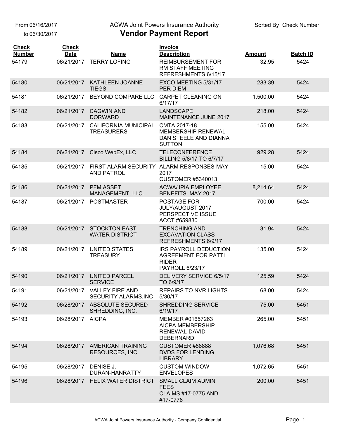From 06/16/2017

to 06/30/2017

### ACWA Joint Powers Insurance Authority

| <b>Check</b>  | <b>Check</b> |                                                  | <b>Invoice</b>                                                                                |               |                 |
|---------------|--------------|--------------------------------------------------|-----------------------------------------------------------------------------------------------|---------------|-----------------|
| <b>Number</b> | <b>Date</b>  | <b>Name</b>                                      | <b>Description</b><br><b>REIMBURSEMENT FOR</b>                                                | <b>Amount</b> | <b>Batch ID</b> |
| 54179         | 06/21/2017   | <b>TERRY LOFING</b>                              | RM STAFF MEETING<br>REFRESHMENTS 6/15/17                                                      | 32.95         | 5424            |
| 54180         | 06/21/2017   | KATHLEEN JOANNE<br><b>TIEGS</b>                  | EXCO MEETING 5/31/17<br>PER DIEM                                                              | 283.39        | 5424            |
| 54181         | 06/21/2017   | BEYOND COMPARE LLC                               | <b>CARPET CLEANING ON</b><br>6/17/17                                                          | 1,500.00      | 5424            |
| 54182         | 06/21/2017   | <b>CAGWIN AND</b><br><b>DORWARD</b>              | <b>LANDSCAPE</b><br>MAINTENANCE JUNE 2017                                                     | 218.00        | 5424            |
| 54183         | 06/21/2017   | <b>CALIFORNIA MUNICIPAL</b><br><b>TREASURERS</b> | CMTA 2017-18<br>MEMBERSHIP RENEWAL<br>DAN STEELE AND DIANNA<br><b>SUTTON</b>                  | 155.00        | 5424            |
| 54184         | 06/21/2017   | Cisco WebEx, LLC                                 | <b>TELECONFERENCE</b><br>BILLING 5/8/17 TO 6/7/17                                             | 929.28        | 5424            |
| 54185         | 06/21/2017   | FIRST ALARM SECURITY<br><b>AND PATROL</b>        | ALARM RESPONSES-MAY<br>2017<br><b>CUSTOMER #5340013</b>                                       | 15.00         | 5424            |
| 54186         | 06/21/2017   | <b>PFM ASSET</b><br>MANAGEMENT, LLC.             | <b>ACWA/JPIA EMPLOYEE</b><br>BENEFITS MAY 2017                                                | 8,214.64      | 5424            |
| 54187         | 06/21/2017   | <b>POSTMASTER</b>                                | POSTAGE FOR<br>JULY/AUGUST 2017<br>PERSPECTIVE ISSUE<br>ACCT #659830                          | 700.00        | 5424            |
| 54188         | 06/21/2017   | <b>STOCKTON EAST</b><br><b>WATER DISTRICT</b>    | <b>TRENCHING AND</b><br><b>EXCAVATION CLASS</b><br>REFRESHMENTS 6/9/17                        | 31.94         | 5424            |
| 54189         | 06/21/2017   | <b>UNITED STATES</b><br><b>TREASURY</b>          | <b>IRS PAYROLL DEDUCTION</b><br><b>AGREEMENT FOR PATTI</b><br><b>RIDER</b><br>PAYROLL 6/23/17 | 135.00        | 5424            |
| 54190         | 06/21/2017   | <b>UNITED PARCEL</b><br><b>SERVICE</b>           | DELIVERY SERVICE 6/5/17<br>TO 6/9/17                                                          | 125.59        | 5424            |
| 54191         | 06/21/2017   | <b>VALLEY FIRE AND</b><br>SECURITY ALARMS, INC   | <b>REPAIRS TO NVR LIGHTS</b><br>5/30/17                                                       | 68.00         | 5424            |
| 54192         | 06/28/2017   | ABSOLUTE SECURED<br>SHREDDING, INC.              | <b>SHREDDING SERVICE</b><br>6/19/17                                                           | 75.00         | 5451            |
| 54193         | 06/28/2017   | <b>AICPA</b>                                     | MEMBER #01657263<br><b>AICPA MEMBERSHIP</b><br>RENEWAL-DAVID<br><b>DEBERNARDI</b>             | 265.00        | 5451            |
| 54194         | 06/28/2017   | <b>AMERICAN TRAINING</b><br>RESOURCES, INC.      | CUSTOMER #88888<br><b>DVDS FOR LENDING</b><br><b>LIBRARY</b>                                  | 1,076.68      | 5451            |
| 54195         | 06/28/2017   | DENISE J.<br>DURAN-HANRATTY                      | <b>CUSTOM WINDOW</b><br><b>ENVELOPES</b>                                                      | 1,072.65      | 5451            |
| 54196         | 06/28/2017   | <b>HELIX WATER DISTRICT</b>                      | <b>SMALL CLAIM ADMIN</b><br><b>FEES</b><br><b>CLAIMS #17-0775 AND</b><br>#17-0776             | 200.00        | 5451            |
|               |              |                                                  |                                                                                               |               |                 |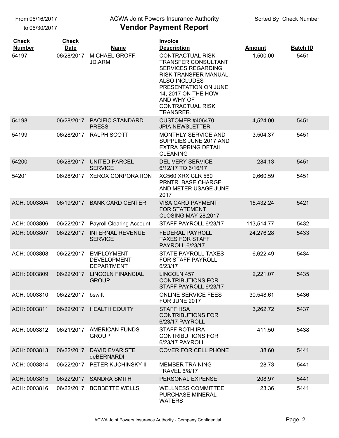### ACWA Joint Powers Insurance Authority

| <b>Check</b><br><b>Number</b> | <b>Check</b><br><b>Date</b> | <b>Name</b>                                                  | <b>Invoice</b><br><b>Description</b>                                                                                                                                                                                              | <b>Amount</b> | <b>Batch ID</b> |
|-------------------------------|-----------------------------|--------------------------------------------------------------|-----------------------------------------------------------------------------------------------------------------------------------------------------------------------------------------------------------------------------------|---------------|-----------------|
| 54197                         | 06/28/2017                  | MICHAEL GROFF,<br><b>JD, ARM</b>                             | <b>CONTRACTUAL RISK</b><br><b>TRANSFER CONSULTANT</b><br><b>SERVICES REGARDING</b><br>RISK TRANSFER MANUAL.<br>ALSO INCLUDES<br>PRESENTATION ON JUNE<br>14, 2017 ON THE HOW<br>AND WHY OF<br><b>CONTRACTUAL RISK</b><br>TRANSRER. | 1,500.00      | 5451            |
| 54198                         | 06/28/2017                  | <b>PACIFIC STANDARD</b><br><b>PRESS</b>                      | <b>CUSTOMER #406470</b><br><b>JPIA NEWSLETTER</b>                                                                                                                                                                                 | 4,524.00      | 5451            |
| 54199                         | 06/28/2017                  | <b>RALPH SCOTT</b>                                           | MONTHLY SERVICE AND<br>SUPPLIES JUNE 2017 AND<br><b>EXTRA SPRING DETAIL</b><br><b>CLEANING</b>                                                                                                                                    | 3,504.37      | 5451            |
| 54200                         | 06/28/2017                  | <b>UNITED PARCEL</b><br><b>SERVICE</b>                       | <b>DELIVERY SERVICE</b><br>6/12/17 TO 6/16/17                                                                                                                                                                                     | 284.13        | 5451            |
| 54201                         | 06/28/2017                  | <b>XEROX CORPORATION</b>                                     | <b>XC560 XRX CLR 560</b><br>PRNTR BASE CHARGE<br>AND METER USAGE JUNE<br>2017                                                                                                                                                     | 9,660.59      | 5451            |
| ACH: 0003804                  | 06/19/2017                  | <b>BANK CARD CENTER</b>                                      | <b>VISA CARD PAYMENT</b><br><b>FOR STATEMENT</b><br>CLOSING MAY 28,2017                                                                                                                                                           | 15,432.24     | 5421            |
| ACH: 0003806                  | 06/22/2017                  | <b>Payroll Clearing Account</b>                              | STAFF PAYROLL 6/23/17                                                                                                                                                                                                             | 113,514.77    | 5432            |
| ACH: 0003807                  | 06/22/2017                  | <b>INTERNAL REVENUE</b><br><b>SERVICE</b>                    | FEDERAL PAYROLL<br><b>TAXES FOR STAFF</b><br><b>PAYROLL 6/23/17</b>                                                                                                                                                               | 24,276.28     | 5433            |
| ACH: 0003808                  | 06/22/2017                  | <b>EMPLOYMENT</b><br><b>DEVELOPMENT</b><br><b>DEPARTMENT</b> | <b>STATE PAYROLL TAXES</b><br>FOR STAFF PAYROLL<br>6/23/17                                                                                                                                                                        | 6,622.49      | 5434            |
| ACH: 0003809                  | 06/22/2017                  | <b>LINCOLN FINANCIAL</b><br><b>GROUP</b>                     | <b>LINCOLN 457</b><br><b>CONTRIBUTIONS FOR</b><br>STAFF PAYROLL 6/23/17                                                                                                                                                           | 2,221.07      | 5435            |
| ACH: 0003810                  | 06/22/2017                  | bswift                                                       | <b>ONLINE SERVICE FEES</b><br>FOR JUNE 2017                                                                                                                                                                                       | 30,548.61     | 5436            |
| ACH: 0003811                  |                             | 06/22/2017 HEALTH EQUITY                                     | <b>STAFF HSA</b><br><b>CONTRIBUTIONS FOR</b><br>6/23/17 PAYROLL                                                                                                                                                                   | 3,262.72      | 5437            |
| ACH: 0003812                  | 06/21/2017                  | <b>AMERICAN FUNDS</b><br><b>GROUP</b>                        | <b>STAFF ROTH IRA</b><br><b>CONTRIBUTIONS FOR</b><br>6/23/17 PAYROLL                                                                                                                                                              | 411.50        | 5438            |
| ACH: 0003813                  | 06/22/2017                  | <b>DAVID EVARISTE</b><br>deBERNARDI                          | <b>COVER FOR CELL PHONE</b>                                                                                                                                                                                                       | 38.60         | 5441            |
| ACH: 0003814                  | 06/22/2017                  | PETER KUCHINSKY II                                           | <b>MEMBER TRAINING</b><br><b>TRAVEL 6/8/17</b>                                                                                                                                                                                    | 28.73         | 5441            |
| ACH: 0003815                  | 06/22/2017                  | <b>SANDRA SMITH</b>                                          | PERSONAL EXPENSE                                                                                                                                                                                                                  | 208.97        | 5441            |
| ACH: 0003816                  | 06/22/2017                  | <b>BOBBETTE WELLS</b>                                        | <b>WELLNESS COMMITTEE</b><br>PURCHASE-MINERAL<br><b>WATERS</b>                                                                                                                                                                    | 23.36         | 5441            |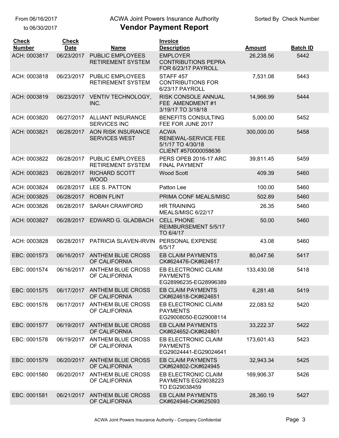to 06/30/2017

### **Vendor Payment Report** ACWA Joint Powers Insurance Authority

#### **Description Amount Batch ID Invoice Date Name Check Check Number** ACH: 0003817 EMPLOYER 06/23/2017 PUBLIC EMPLOYEES CONTRIBUTIONS PEPRA FOR 6/23/17 PAYROLL RETIREMENT SYSTEM 26,238.56 5442 ACH: 0003818 STAFF 457 06/23/2017 PUBLIC EMPLOYEES CONTRIBUTIONS FOR 6/23/17 PAYROLL RETIREMENT SYSTEM 7,531.08 5443 ACH: 0003819 06/23/2017 VENTIV TECHNOLOGY, RISK CONSOLE ANNUAL FEE AMENDMENT #1 3/19/17 TO 3/18/18 INC. 14,966.99 5444 ACH: 0003820 06/27/2017 ALLIANT INSURANCE BENEFITS CONSULTING FEE FOR JUNE 2017 ALLIANT INSURANCE SERVICES INC 5,000.00 5452 ACH: 0003821 ACWA 06/28/2017 AON RISK INSURANCE RENEWAL-SERVICE FEE 5/1/17 TO 4/30/18 CLIENT #570000058636 SERVICES WEST 300,000.00 5458 ACH: 0003822 06/28/2017 PUBLIC EMPLOYEES PERS OPEB 2016-17 ARC FINAL PAYMENT PUBLIC EMPLOYEES RETIREMENT SYSTEM 39,811.45 5459 ACH: 0003823 06/28/2017 RICHARD SCOTT Wood Scott WOOD 409.39 5460 ACH: 0003824 06/28/2017 LEE S. PATTON Patton Lee 100.00 100.00 5460 ACH: 0003825 06/28/2017 ROBIN FLINT PRIMA CONF MEALS/MISC 502.89 5460 ACH: 0003826 HR TRAINING 06/28/2017 SARAH CRAWFORD 26.35 5460 MEALS/MISC 6/22/17 ACH: 0003827 CELL PHONE 06/28/2017 EDWARD G. GLADBACH 50.00 5460 REIMBURSEMENT 5/5/17 TO 6/4/17 ACH: 0003828 PERSONAL EXPENSE 06/28/2017 PATRICIA SLAVEN-IRVIN 43.08 5460 6/5/17 EBC: 0001573 06/16/2017 ANTHEM BLUE CROSS EB CLAIM PAYMENTS CK#624476-CK#624617 OF CALIFORNIA 80,047.56 5417 EBC: 0001574 06/16/2017 ANTHEM BLUE CROSS EB ELECTRONIC CLAIM PAYMENTS EG28996235-EG28996389 06/16/2017 ANTHEM BLUE CROSS OF CALIFORNIA 133,430.08 5418 EBC: 0001575 EB CLAIM PAYMENTS 06/17/2017 ANTHEM BLUE CROSS CK#624618-CK#624651 OF CALIFORNIA 6,281.48 5419 EBC: 0001576 06/17/2017 ANTHEM BLUE CROSS EB ELECTRONIC CLAIM PAYMENTS EG29008050-EG29008114 ANTHEM BLUE CROSS OF CALIFORNIA 22,083.52 5420 EBC: 0001577 EB CLAIM PAYMENTS 06/19/2017 ANTHEM BLUE CROSS CK#624652-CK#624801 OF CALIFORNIA 33,222.37 5422 EBC: 0001578 06/19/2017 ANTHEM BLUE CROSS EB ELECTRONIC CLAIM PAYMENTS EG29024441-EG29024641 06/19/2017 ANTHEM BLUE CROSS OF CALIFORNIA 173,601.43 5423 EBC: 0001579 EB CLAIM PAYMENTS 06/20/2017 ANTHEM BLUE CROSS CK#624802-CK#624945 OF CALIFORNIA 32,943.34 5425 EBC: 0001580 06/20/2017 ANTHEM BLUE CROSS EB ELECTRONIC CLAIM PAYMENTS EG29038223 TO EG29038459 ANTHEM BLUE CROSS OF CALIFORNIA 169,906.37 5426 EBC: 0001581 EB CLAIM PAYMENTS 06/21/2017 ANTHEM BLUE CROSS CK#624946-CK#625093 OF CALIFORNIA 28,360.19 5427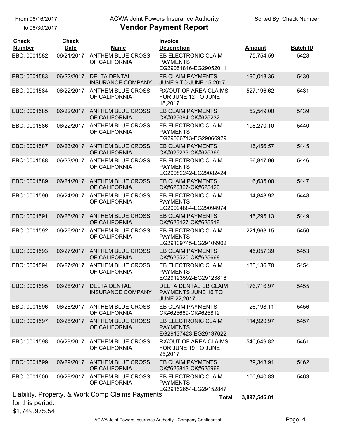\$1,749,975.54

to 06/30/2017

## ACWA Joint Powers Insurance Authority

| <b>Check</b><br><b>Number</b> | <b>Check</b><br><b>Date</b> | <b>Name</b>                                      | <b>Invoice</b><br><b>Description</b>                                | <b>Amount</b> | <b>Batch ID</b> |
|-------------------------------|-----------------------------|--------------------------------------------------|---------------------------------------------------------------------|---------------|-----------------|
| EBC: 0001582                  | 06/21/2017                  | <b>ANTHEM BLUE CROSS</b><br>OF CALIFORNIA        | EB ELECTRONIC CLAIM<br><b>PAYMENTS</b><br>EG29051816-EG29052011     | 75,754.59     | 5428            |
| EBC: 0001583                  | 06/22/2017                  | <b>DELTA DENTAL</b><br><b>INSURANCE COMPANY</b>  | <b>EB CLAIM PAYMENTS</b><br><b>JUNE 9 TO JUNE 15,2017</b>           | 190,043.36    | 5430            |
| EBC: 0001584                  | 06/22/2017                  | <b>ANTHEM BLUE CROSS</b><br>OF CALIFORNIA        | RX/OUT OF AREA CLAIMS<br>FOR JUNE 12 TO JUNE<br>18,2017             | 527,196.62    | 5431            |
| EBC: 0001585                  | 06/22/2017                  | <b>ANTHEM BLUE CROSS</b><br>OF CALIFORNIA        | <b>EB CLAIM PAYMENTS</b><br>CK#625094-CK#625232                     | 52,549.00     | 5439            |
| EBC: 0001586                  | 06/22/2017                  | <b>ANTHEM BLUE CROSS</b><br>OF CALIFORNIA        | EB ELECTRONIC CLAIM<br><b>PAYMENTS</b><br>EG29066713-EG29066929     | 198,270.10    | 5440            |
| EBC: 0001587                  | 06/23/2017                  | <b>ANTHEM BLUE CROSS</b><br>OF CALIFORNIA        | <b>EB CLAIM PAYMENTS</b><br>CK#625233-CK#625366                     | 15,456.57     | 5445            |
| EBC: 0001588                  | 06/23/2017                  | <b>ANTHEM BLUE CROSS</b><br>OF CALIFORNIA        | EB ELECTRONIC CLAIM<br><b>PAYMENTS</b><br>EG29082242-EG29082424     | 66,847.99     | 5446            |
| EBC: 0001589                  | 06/24/2017                  | <b>ANTHEM BLUE CROSS</b><br>OF CALIFORNIA        | <b>EB CLAIM PAYMENTS</b><br>CK#625367-CK#625426                     | 6,635.00      | 5447            |
| EBC: 0001590                  | 06/24/2017                  | <b>ANTHEM BLUE CROSS</b><br>OF CALIFORNIA        | EB ELECTRONIC CLAIM<br><b>PAYMENTS</b><br>EG29094884-EG29094974     | 14,848.92     | 5448            |
| EBC: 0001591                  | 06/26/2017                  | <b>ANTHEM BLUE CROSS</b><br>OF CALIFORNIA        | <b>EB CLAIM PAYMENTS</b><br>CK#625427-CK#625519                     | 45,295.13     | 5449            |
| EBC: 0001592                  | 06/26/2017                  | <b>ANTHEM BLUE CROSS</b><br>OF CALIFORNIA        | EB ELECTRONIC CLAIM<br><b>PAYMENTS</b><br>EG29109745-EG29109902     | 221,968.15    | 5450            |
| EBC: 0001593                  | 06/27/2017                  | <b>ANTHEM BLUE CROSS</b><br>OF CALIFORNIA        | <b>EB CLAIM PAYMENTS</b><br>CK#625520-CK#625668                     | 45,057.39     | 5453            |
| EBC: 0001594                  | 06/27/2017                  | <b>ANTHEM BLUE CROSS</b><br>OF CALIFORNIA        | EB ELECTRONIC CLAIM<br><b>PAYMENTS</b><br>EG29123592-EG29123816     | 133,136.70    | 5454            |
| EBC: 0001595                  | 06/28/2017                  | <b>DELTA DENTAL</b><br><b>INSURANCE COMPANY</b>  | DELTA DENTAL EB CLAIM<br>PAYMENTS JUNE 16 TO<br><b>JUNE 22,2017</b> | 176,716.97    | 5455            |
| EBC: 0001596                  | 06/28/2017                  | <b>ANTHEM BLUE CROSS</b><br>OF CALIFORNIA        | EB CLAIM PAYMENTS<br>CK#625669-CK#625812                            | 26,198.11     | 5456            |
| EBC: 0001597                  | 06/28/2017                  | <b>ANTHEM BLUE CROSS</b><br>OF CALIFORNIA        | EB ELECTRONIC CLAIM<br><b>PAYMENTS</b><br>EG29137423-EG29137622     | 114,920.97    | 5457            |
| EBC: 0001598                  | 06/29/2017                  | <b>ANTHEM BLUE CROSS</b><br>OF CALIFORNIA        | RX/OUT OF AREA CLAIMS<br>FOR JUNE 19 TO JUNE<br>25,2017             | 540,649.82    | 5461            |
| EBC: 0001599                  | 06/29/2017                  | <b>ANTHEM BLUE CROSS</b><br>OF CALIFORNIA        | <b>EB CLAIM PAYMENTS</b><br>CK#625813-CK#625969                     | 39,343.91     | 5462            |
| EBC: 0001600                  | 06/29/2017                  | <b>ANTHEM BLUE CROSS</b><br>OF CALIFORNIA        | EB ELECTRONIC CLAIM<br><b>PAYMENTS</b><br>EG29152654-EG29152847     | 100,940.83    | 5463            |
| for this period:              |                             | Liability, Property, & Work Comp Claims Payments | <b>Total</b>                                                        | 3,897,546.81  |                 |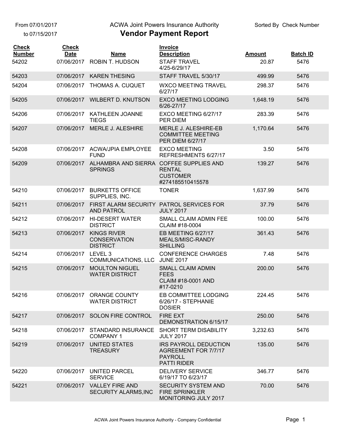From 07/01/2017

to 07/15/2017

### ACWA Joint Powers Insurance Authority

| <b>Check</b><br><b>Number</b> | <b>Check</b><br><b>Date</b> | Name                                                          | Invoice<br><b>Description</b>                                                         | <b>Amount</b> | <b>Batch ID</b> |
|-------------------------------|-----------------------------|---------------------------------------------------------------|---------------------------------------------------------------------------------------|---------------|-----------------|
| 54202                         | 07/06/2017                  | <b>ROBIN T. HUDSON</b>                                        | <b>STAFF TRAVEL</b>                                                                   | 20.87         | 5476            |
|                               |                             |                                                               | 4/25-6/29/17                                                                          |               |                 |
| 54203                         | 07/06/2017                  | <b>KAREN THESING</b>                                          | STAFF TRAVEL 5/30/17                                                                  | 499.99        | 5476            |
| 54204                         | 07/06/2017                  | THOMAS A. CUQUET                                              | <b>WXCO MEETING TRAVEL</b><br>6/27/17                                                 | 298.37        | 5476            |
| 54205                         |                             | 07/06/2017 WILBERT D. KNUTSON                                 | <b>EXCO MEETING LODGING</b><br>6/26-27/17                                             | 1,648.19      | 5476            |
| 54206                         | 07/06/2017                  | KATHLEEN JOANNE<br><b>TIEGS</b>                               | EXCO MEETING 6/27/17<br>PER DIEM                                                      | 283.39        | 5476            |
| 54207                         | 07/06/2017                  | <b>MERLE J. ALESHIRE</b>                                      | MERLE J. ALESHIRE-EB<br><b>COMMITTEE MEETING</b><br>PER DIEM 6/27/17                  | 1,170.64      | 5476            |
| 54208                         |                             | 07/06/2017 ACWA/JPIA EMPLOYEE<br><b>FUND</b>                  | <b>EXCO MEETING</b><br>REFRESHMENTS 6/27/17                                           | 3.50          | 5476            |
| 54209                         | 07/06/2017                  | ALHAMBRA AND SIERRA<br><b>SPRINGS</b>                         | <b>COFFEE SUPPLIES AND</b><br><b>RENTAL</b><br><b>CUSTOMER</b><br>#274185510415578    | 139.27        | 5476            |
| 54210                         | 07/06/2017                  | <b>BURKETTS OFFICE</b><br>SUPPLIES, INC.                      | <b>TONER</b>                                                                          | 1,637.99      | 5476            |
| 54211                         | 07/06/2017                  | FIRST ALARM SECURITY PATROL SERVICES FOR<br><b>AND PATROL</b> | <b>JULY 2017</b>                                                                      | 37.79         | 5476            |
| 54212                         | 07/06/2017                  | <b>HI-DESERT WATER</b><br><b>DISTRICT</b>                     | SMALL CLAIM ADMIN FEE<br>CLAIM #18-0004                                               | 100.00        | 5476            |
| 54213                         | 07/06/2017                  | <b>KINGS RIVER</b><br><b>CONSERVATION</b><br><b>DISTRICT</b>  | EB MEETING 6/27/17<br>MEALS/MISC-RANDY<br><b>SHILLING</b>                             | 361.43        | 5476            |
| 54214                         | 07/06/2017                  | LEVEL 3<br>COMMUNICATIONS, LLC                                | <b>CONFERENCE CHARGES</b><br><b>JUNE 2017</b>                                         | 7.48          | 5476            |
| 54215                         | 07/06/2017                  | <b>MOULTON NIGUEL</b><br><b>WATER DISTRICT</b>                | <b>SMALL CLAIM ADMIN</b><br><b>FEES</b><br><b>CLAIM #18-0001 AND</b><br>#17-0210      | 200.00        | 5476            |
| 54216                         |                             | 07/06/2017 ORANGE COUNTY<br><b>WATER DISTRICT</b>             | EB COMMITTEE LODGING<br>6/26/17 - STEPHANIE<br><b>DOSIER</b>                          | 224.45        | 5476            |
| 54217                         |                             | 07/06/2017 SOLON FIRE CONTROL                                 | <b>FIRE EXT</b><br>DEMONSTRATION 6/15/17                                              | 250.00        | 5476            |
| 54218                         |                             | 07/06/2017 STANDARD INSURANCE<br><b>COMPANY 1</b>             | SHORT TERM DISABILITY<br><b>JULY 2017</b>                                             | 3,232.63      | 5476            |
| 54219                         | 07/06/2017                  | <b>UNITED STATES</b><br><b>TREASURY</b>                       | IRS PAYROLL DEDUCTION<br>AGREEMENT FOR 7/7/17<br><b>PAYROLL</b><br><b>PATTI RIDER</b> | 135.00        | 5476            |
| 54220                         | 07/06/2017                  | <b>UNITED PARCEL</b><br><b>SERVICE</b>                        | <b>DELIVERY SERVICE</b><br>6/19/17 TO 6/23/17                                         | 346.77        | 5476            |
| 54221                         | 07/06/2017                  | <b>VALLEY FIRE AND</b><br>SECURITY ALARMS, INC                | <b>SECURITY SYSTEM AND</b><br><b>FIRE SPRINKLER</b><br>MONITORING JULY 2017           | 70.00         | 5476            |
|                               |                             |                                                               |                                                                                       |               |                 |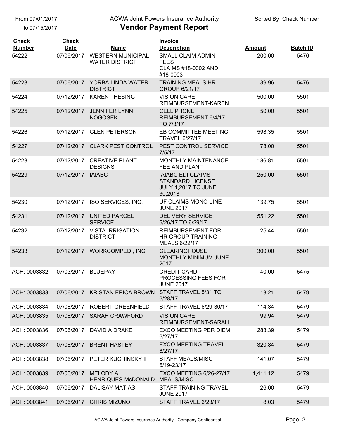From 07/01/2017

to 07/15/2017

## ACWA Joint Powers Insurance Authority

| <b>Check</b><br><b>Number</b> | <b>Check</b><br><b>Date</b> | <b>Name</b>                                       | Invoice<br><b>Description</b>                                                         | <b>Amount</b> | <b>Batch ID</b> |
|-------------------------------|-----------------------------|---------------------------------------------------|---------------------------------------------------------------------------------------|---------------|-----------------|
| 54222                         | 07/06/2017                  | <b>WESTERN MUNICIPAL</b><br><b>WATER DISTRICT</b> | SMALL CLAIM ADMIN<br><b>FEES</b><br><b>CLAIMS #18-0002 AND</b><br>#18-0003            | 200.00        | 5476            |
| 54223                         | 07/06/2017                  | YORBA LINDA WATER<br><b>DISTRICT</b>              | <b>TRAINING MEALS HR</b><br><b>GROUP 6/21/17</b>                                      | 39.96         | 5476            |
| 54224                         | 07/12/2017                  | <b>KAREN THESING</b>                              | <b>VISION CARE</b><br>REIMBURSEMENT-KAREN                                             | 500.00        | 5501            |
| 54225                         | 07/12/2017                  | <b>JENNIFER LYNN</b><br><b>NOGOSEK</b>            | <b>CELL PHONE</b><br>REIMBURSEMENT 6/4/17<br>TO 7/3/17                                | 50.00         | 5501            |
| 54226                         | 07/12/2017                  | <b>GLEN PETERSON</b>                              | EB COMMITTEE MEETING<br><b>TRAVEL 6/27/17</b>                                         | 598.35        | 5501            |
| 54227                         |                             | 07/12/2017 CLARK PEST CONTROL                     | PEST CONTROL SERVICE<br>7/5/17                                                        | 78.00         | 5501            |
| 54228                         | 07/12/2017                  | <b>CREATIVE PLANT</b><br><b>DESIGNS</b>           | <b>MONTHLY MAINTENANCE</b><br>FEE AND PLANT                                           | 186.81        | 5501            |
| 54229                         | 07/12/2017                  | <b>IAIABC</b>                                     | <b>IAIABC EDI CLAIMS</b><br><b>STANDARD LICENSE</b><br>JULY 1,2017 TO JUNE<br>30,2018 | 250.00        | 5501            |
| 54230                         | 07/12/2017                  | ISO SERVICES, INC.                                | UF CLAIMS MONO-LINE<br><b>JUNE 2017</b>                                               | 139.75        | 5501            |
| 54231                         | 07/12/2017                  | <b>UNITED PARCEL</b><br><b>SERVICE</b>            | <b>DELIVERY SERVICE</b><br>6/26/17 TO 6/29/17                                         | 551.22        | 5501            |
| 54232                         | 07/12/2017                  | <b>VISTA IRRIGATION</b><br><b>DISTRICT</b>        | <b>REIMBURSEMENT FOR</b><br><b>HR GROUP TRAINING</b><br>MEALS 6/22/17                 | 25.44         | 5501            |
| 54233                         |                             | 07/12/2017 WORKCOMPEDI, INC.                      | <b>CLEARINGHOUSE</b><br>MONTHLY MINIMUM JUNE<br>2017                                  | 300.00        | 5501            |
| ACH: 0003832                  | 07/03/2017                  | <b>BLUEPAY</b>                                    | <b>CREDIT CARD</b><br>PROCESSING FEES FOR<br><b>JUNE 2017</b>                         | 40.00         | 5475            |
| ACH: 0003833                  |                             | 07/06/2017 KRISTAN ERICA BROWN                    | STAFF TRAVEL 5/31 TO<br>6/28/17                                                       | 13.21         | 5479            |
| ACH: 0003834                  | 07/06/2017                  | <b>ROBERT GREENFIELD</b>                          | STAFF TRAVEL 6/29-30/17                                                               | 114.34        | 5479            |
| ACH: 0003835                  | 07/06/2017                  | <b>SARAH CRAWFORD</b>                             | <b>VISION CARE</b><br>REIMBURSEMENT-SARAH                                             | 99.94         | 5479            |
| ACH: 0003836                  | 07/06/2017                  | DAVID A DRAKE                                     | <b>EXCO MEETING PER DIEM</b><br>6/27/17                                               | 283.39        | 5479            |
| ACH: 0003837                  | 07/06/2017                  | <b>BRENT HASTEY</b>                               | <b>EXCO MEETING TRAVEL</b><br>6/27/17                                                 | 320.84        | 5479            |
| ACH: 0003838                  | 07/06/2017                  | PETER KUCHINSKY II                                | <b>STAFF MEALS/MISC</b><br>6/19-23/17                                                 | 141.07        | 5479            |
| ACH: 0003839                  | 07/06/2017                  | MELODY A.<br>HENRIQUES-McDONALD                   | <b>EXCO MEETING 6/26-27/17</b><br><b>MEALS/MISC</b>                                   | 1,411.12      | 5479            |
| ACH: 0003840                  | 07/06/2017                  | <b>DALISAY MATIAS</b>                             | STAFF TRAINING TRAVEL<br><b>JUNE 2017</b>                                             | 26.00         | 5479            |
| ACH: 0003841                  |                             | 07/06/2017 CHRIS MIZUNO                           | STAFF TRAVEL 6/23/17                                                                  | 8.03          | 5479            |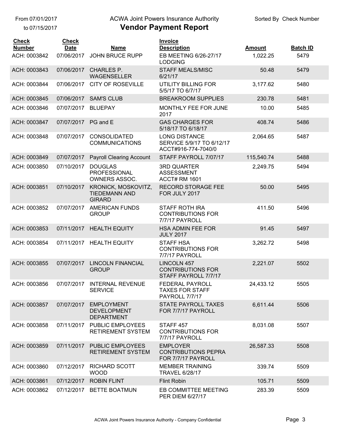to 07/15/2017

## ACWA Joint Powers Insurance Authority

| <b>Check</b><br><b>Number</b> | <b>Check</b><br><b>Date</b> | <b>Name</b>                                                  | <b>Invoice</b><br><b>Description</b>                                     | <b>Amount</b> | <b>Batch ID</b> |
|-------------------------------|-----------------------------|--------------------------------------------------------------|--------------------------------------------------------------------------|---------------|-----------------|
| ACH: 0003842                  | 07/06/2017                  | <b>JOHN BRUCE RUPP</b>                                       | EB MEETING 6/26-27/17<br><b>LODGING</b>                                  | 1,022.25      | 5479            |
| ACH: 0003843                  | 07/06/2017                  | <b>CHARLES P.</b><br><b>WAGENSELLER</b>                      | <b>STAFF MEALS/MISC</b><br>6/21/17                                       | 50.48         | 5479            |
| ACH: 0003844                  | 07/06/2017                  | <b>CITY OF ROSEVILLE</b>                                     | <b>UTILITY BILLING FOR</b><br>5/5/17 TO 6/7/17                           | 3,177.62      | 5480            |
| ACH: 0003845                  | 07/06/2017                  | <b>SAM'S CLUB</b>                                            | <b>BREAKROOM SUPPLIES</b>                                                | 230.78        | 5481            |
| ACH: 0003846                  | 07/07/2017                  | <b>BLUEPAY</b>                                               | MONTHLY FEE FOR JUNE<br>2017                                             | 10.00         | 5485            |
| ACH: 0003847                  | 07/07/2017                  | PG and E                                                     | <b>GAS CHARGES FOR</b><br>5/18/17 TO 6/18/17                             | 408.74        | 5486            |
| ACH: 0003848                  | 07/07/2017                  | <b>CONSOLIDATED</b><br><b>COMMUNICATIONS</b>                 | <b>LONG DISTANCE</b><br>SERVICE 5/9/17 TO 6/12/17<br>ACCT#916-774-7040/0 | 2,064.65      | 5487            |
| ACH: 0003849                  | 07/07/2017                  | <b>Payroll Clearing Account</b>                              | STAFF PAYROLL 7/07/17                                                    | 115,540.74    | 5488            |
| ACH: 0003850                  | 07/10/2017                  | <b>DOUGLAS</b><br><b>PROFESSIONAL</b><br>OWNERS ASSOC.       | <b>3RD QUARTER</b><br><b>ASSESSMENT</b><br><b>ACCT# RM 1601</b>          | 2,249.75      | 5494            |
| ACH: 0003851                  | 07/10/2017                  | KRONICK, MOSKOVITZ,<br><b>TIEDEMANN AND</b><br><b>GIRARD</b> | <b>RECORD STORAGE FEE</b><br>FOR JULY 2017                               | 50.00         | 5495            |
| ACH: 0003852                  | 07/07/2017                  | <b>AMERICAN FUNDS</b><br><b>GROUP</b>                        | STAFF ROTH IRA<br><b>CONTRIBUTIONS FOR</b><br>7/7/17 PAYROLL             | 411.50        | 5496            |
| ACH: 0003853                  | 07/11/2017                  | <b>HEALTH EQUITY</b>                                         | <b>HSA ADMIN FEE FOR</b><br><b>JULY 2017</b>                             | 91.45         | 5497            |
| ACH: 0003854                  |                             | 07/11/2017 HEALTH EQUITY                                     | <b>STAFF HSA</b><br><b>CONTRIBUTIONS FOR</b><br>7/7/17 PAYROLL           | 3,262.72      | 5498            |
| ACH: 0003855                  | 07/07/2017                  | <b>LINCOLN FINANCIAL</b><br><b>GROUP</b>                     | LINCOLN 457<br><b>CONTRIBUTIONS FOR</b><br>STAFF PAYROLL 7/7/17          | 2,221.07      | 5502            |
| ACH: 0003856                  |                             | 07/07/2017 INTERNAL REVENUE<br><b>SERVICE</b>                | <b>FEDERAL PAYROLL</b><br><b>TAXES FOR STAFF</b><br>PAYROLL 7/7/17       | 24,433.12     | 5505            |
| ACH: 0003857                  | 07/07/2017                  | <b>EMPLOYMENT</b><br><b>DEVELOPMENT</b><br><b>DEPARTMENT</b> | <b>STATE PAYROLL TAXES</b><br>FOR 7/7/17 PAYROLL                         | 6,611.44      | 5506            |
| ACH: 0003858                  | 07/11/2017                  | PUBLIC EMPLOYEES<br><b>RETIREMENT SYSTEM</b>                 | STAFF 457<br><b>CONTRIBUTIONS FOR</b><br>7/7/17 PAYROLL                  | 8,031.08      | 5507            |
| ACH: 0003859                  |                             | 07/11/2017 PUBLIC EMPLOYEES<br><b>RETIREMENT SYSTEM</b>      | <b>EMPLOYER</b><br><b>CONTRIBUTIONS PEPRA</b><br>FOR 7/7/17 PAYROLL      | 26,587.33     | 5508            |
| ACH: 0003860                  | 07/12/2017                  | RICHARD SCOTT<br><b>WOOD</b>                                 | <b>MEMBER TRAINING</b><br><b>TRAVEL 6/28/17</b>                          | 339.74        | 5509            |
| ACH: 0003861                  | 07/12/2017                  | <b>ROBIN FLINT</b>                                           | <b>Flint Robin</b>                                                       | 105.71        | 5509            |
| ACH: 0003862                  | 07/12/2017                  | <b>BETTE BOATMUN</b>                                         | EB COMMITTEE MEETING<br><b>PER DIEM 6/27/17</b>                          | 283.39        | 5509            |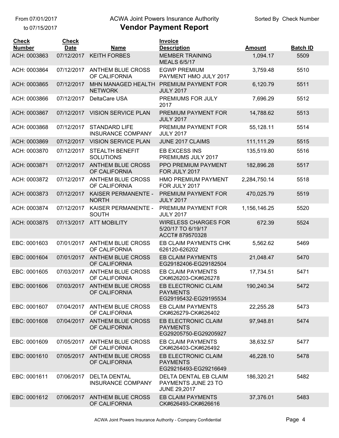to 07/15/2017

## ACWA Joint Powers Insurance Authority

| <b>Check</b><br><b>Number</b> | <b>Check</b><br><b>Date</b> | <b>Name</b>                                      | Invoice<br><b>Description</b>                                        | <b>Amount</b> | <b>Batch ID</b> |
|-------------------------------|-----------------------------|--------------------------------------------------|----------------------------------------------------------------------|---------------|-----------------|
| ACH: 0003863                  | 07/12/2017                  | <b>KEITH FORBES</b>                              | <b>MEMBER TRAINING</b><br><b>MEALS 6/5/17</b>                        | 1,094.17      | 5509            |
| ACH: 0003864                  | 07/12/2017                  | <b>ANTHEM BLUE CROSS</b><br>OF CALIFORNIA        | <b>EGWP PREMIUM</b><br>PAYMENT HMO JULY 2017                         | 3,759.48      | 5510            |
| ACH: 0003865                  | 07/12/2017                  | MHN MANAGED HEALTH<br><b>NETWORK</b>             | PREMIUM PAYMENT FOR<br><b>JULY 2017</b>                              | 6,120.79      | 5511            |
| ACH: 0003866                  | 07/12/2017                  | DeltaCare USA                                    | PREMIUMS FOR JULY<br>2017                                            | 7,696.29      | 5512            |
| ACH: 0003867                  | 07/12/2017                  | <b>VISION SERVICE PLAN</b>                       | PREMIUM PAYMENT FOR<br><b>JULY 2017</b>                              | 14,788.62     | 5513            |
| ACH: 0003868                  | 07/12/2017                  | <b>STANDARD LIFE</b><br><b>INSURANCE COMPANY</b> | PREMIUM PAYMENT FOR<br><b>JULY 2017</b>                              | 55,128.11     | 5514            |
| ACH: 0003869                  | 07/12/2017                  | <b>VISION SERVICE PLAN</b>                       | JUNE 2017 CLAIMS                                                     | 111,111.29    | 5515            |
| ACH: 0003870                  | 07/12/2017                  | <b>STEALTH BENEFIT</b><br><b>SOLUTIONS</b>       | EB EXCESS INS<br>PREMIUMS JULY 2017                                  | 135,519.80    | 5516            |
| ACH: 0003871                  | 07/12/2017                  | <b>ANTHEM BLUE CROSS</b><br>OF CALIFORNIA        | PPO PREMIUM PAYMENT<br>FOR JULY 2017                                 | 182,896.28    | 5517            |
| ACH: 0003872                  | 07/12/2017                  | <b>ANTHEM BLUE CROSS</b><br>OF CALIFORNIA        | HMO PREMIUM PAYMENT<br>FOR JULY 2017                                 | 2,284,750.14  | 5518            |
| ACH: 0003873                  | 07/12/2017                  | KAISER PERMANENTE -<br><b>NORTH</b>              | PREMIUM PAYMENT FOR<br><b>JULY 2017</b>                              | 470,025.79    | 5519            |
| ACH: 0003874                  | 07/12/2017                  | KAISER PERMANENTE -<br><b>SOUTH</b>              | PREMIUM PAYMENT FOR<br><b>JULY 2017</b>                              | 1,156,146.25  | 5520            |
| ACH: 0003875                  | 07/13/2017                  | <b>ATT MOBILITY</b>                              | <b>WIRELESS CHARGES FOR</b><br>5/20/17 TO 6/19/17<br>ACCT# 879570328 | 672.39        | 5524            |
| EBC: 0001603                  | 07/01/2017                  | <b>ANTHEM BLUE CROSS</b><br>OF CALIFORNIA        | EB CLAIM PAYMENTS CHK<br>626120-626202                               | 5,562.62      | 5469            |
| EBC: 0001604                  | 07/01/2017                  | <b>ANTHEM BLUE CROSS</b><br>OF CALIFORNIA        | <b>EB CLAIM PAYMENTS</b><br>EG29182406-EG29182504                    | 21,048.47     | 5470            |
| EBC: 0001605                  | 07/03/2017                  | <b>ANTHEM BLUE CROSS</b><br>OF CALIFORNIA        | <b>EB CLAIM PAYMENTS</b><br>CK#626203-CK#626278                      | 17,734.51     | 5471            |
| EBC: 0001606                  |                             | 07/03/2017 ANTHEM BLUE CROSS<br>OF CALIFORNIA    | EB ELECTRONIC CLAIM<br><b>PAYMENTS</b><br>EG29195432-EG29195534      | 190,240.34    | 5472            |
| EBC: 0001607                  | 07/04/2017                  | <b>ANTHEM BLUE CROSS</b><br>OF CALIFORNIA        | EB CLAIM PAYMENTS<br>CK#626279-CK#626402                             | 22,255.28     | 5473            |
| EBC: 0001608                  | 07/04/2017                  | <b>ANTHEM BLUE CROSS</b><br>OF CALIFORNIA        | EB ELECTRONIC CLAIM<br><b>PAYMENTS</b><br>EG29205750-EG29205927      | 97,948.81     | 5474            |
| EBC: 0001609                  | 07/05/2017                  | <b>ANTHEM BLUE CROSS</b><br>OF CALIFORNIA        | EB CLAIM PAYMENTS<br>CK#626403-CK#626492                             | 38,632.57     | 5477            |
| EBC: 0001610                  | 07/05/2017                  | <b>ANTHEM BLUE CROSS</b><br>OF CALIFORNIA        | EB ELECTRONIC CLAIM<br><b>PAYMENTS</b><br>EG29216493-EG29216649      | 46,228.10     | 5478            |
| EBC: 0001611                  | 07/06/2017                  | <b>DELTA DENTAL</b><br><b>INSURANCE COMPANY</b>  | DELTA DENTAL EB CLAIM<br>PAYMENTS JUNE 23 TO<br><b>JUNE 29,2017</b>  | 186,320.21    | 5482            |
| EBC: 0001612                  | 07/06/2017                  | <b>ANTHEM BLUE CROSS</b><br>OF CALIFORNIA        | <b>EB CLAIM PAYMENTS</b><br>CK#626493-CK#626616                      | 37,376.01     | 5483            |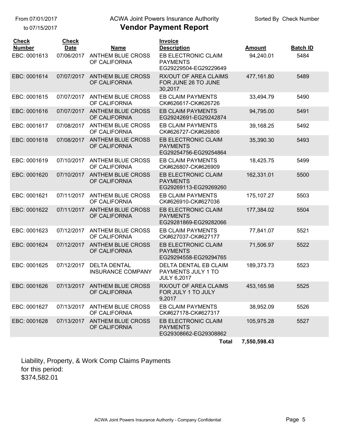to 07/15/2017

## ACWA Joint Powers Insurance Authority

### **Vendor Payment Report**

| <b>Check</b><br><b>Number</b> | <b>Check</b><br><b>Date</b> | Name                                            | Invoice<br><b>Description</b>                                          | <b>Amount</b> | <b>Batch ID</b> |
|-------------------------------|-----------------------------|-------------------------------------------------|------------------------------------------------------------------------|---------------|-----------------|
| EBC: 0001613                  | 07/06/2017                  | <b>ANTHEM BLUE CROSS</b><br>OF CALIFORNIA       | EB ELECTRONIC CLAIM<br><b>PAYMENTS</b><br>EG29229504-EG29229649        | 94,240.01     | 5484            |
| EBC: 0001614                  | 07/07/2017                  | <b>ANTHEM BLUE CROSS</b><br>OF CALIFORNIA       | <b>RX/OUT OF AREA CLAIMS</b><br>FOR JUNE 26 TO JUNE<br>30,2017         | 477,161.80    | 5489            |
| EBC: 0001615                  | 07/07/2017                  | <b>ANTHEM BLUE CROSS</b><br>OF CALIFORNIA       | <b>EB CLAIM PAYMENTS</b><br>CK#626617-CK#626726                        | 33,494.79     | 5490            |
| EBC: 0001616                  | 07/07/2017                  | <b>ANTHEM BLUE CROSS</b><br>OF CALIFORNIA       | <b>EB CLAIM PAYMENTS</b><br>EG29242691-EG29242874                      | 94,795.00     | 5491            |
| EBC: 0001617                  | 07/08/2017                  | <b>ANTHEM BLUE CROSS</b><br>OF CALIFORNIA       | <b>EB CLAIM PAYMENTS</b><br>CK#626727-CK#626806                        | 39,168.25     | 5492            |
| EBC: 0001618                  | 07/08/2017                  | <b>ANTHEM BLUE CROSS</b><br>OF CALIFORNIA       | EB ELECTRONIC CLAIM<br><b>PAYMENTS</b><br>EG29254756-EG29254864        | 35,390.30     | 5493            |
| EBC: 0001619                  | 07/10/2017                  | <b>ANTHEM BLUE CROSS</b><br>OF CALIFORNIA       | <b>EB CLAIM PAYMENTS</b><br>CK#626807-CK#626909                        | 18,425.75     | 5499            |
| EBC: 0001620                  | 07/10/2017                  | <b>ANTHEM BLUE CROSS</b><br>OF CALIFORNIA       | <b>EB ELECTRONIC CLAIM</b><br><b>PAYMENTS</b><br>EG29269113-EG29269260 | 162,331.01    | 5500            |
| EBC: 0001621                  | 07/11/2017                  | <b>ANTHEM BLUE CROSS</b><br>OF CALIFORNIA       | <b>EB CLAIM PAYMENTS</b><br>CK#626910-CK#627036                        | 175, 107.27   | 5503            |
| EBC: 0001622                  | 07/11/2017                  | <b>ANTHEM BLUE CROSS</b><br>OF CALIFORNIA       | EB ELECTRONIC CLAIM<br><b>PAYMENTS</b><br>EG29281869-EG29282066        | 177,384.02    | 5504            |
| EBC: 0001623                  | 07/12/2017                  | <b>ANTHEM BLUE CROSS</b><br>OF CALIFORNIA       | <b>EB CLAIM PAYMENTS</b><br>CK#627037-CK#627177                        | 77,841.07     | 5521            |
| EBC: 0001624                  | 07/12/2017                  | <b>ANTHEM BLUE CROSS</b><br>OF CALIFORNIA       | EB ELECTRONIC CLAIM<br><b>PAYMENTS</b><br>EG29294558-EG29294765        | 71,506.97     | 5522            |
| EBC: 0001625                  | 07/12/2017                  | <b>DELTA DENTAL</b><br><b>INSURANCE COMPANY</b> | DELTA DENTAL EB CLAIM<br>PAYMENTS JULY 1 TO<br><b>JULY 6,2017</b>      | 189,373.73    | 5523            |
| EBC: 0001626                  |                             | 07/13/2017 ANTHEM BLUE CROSS<br>OF CALIFORNIA   | <b>RX/OUT OF AREA CLAIMS</b><br>FOR JULY 1 TO JULY<br>9,2017           | 453,165.98    | 5525            |
| EBC: 0001627                  | 07/13/2017                  | ANTHEM BLUE CROSS<br>OF CALIFORNIA              | EB CLAIM PAYMENTS<br>CK#627178-CK#627317                               | 38,952.09     | 5526            |
| EBC: 0001628                  |                             | 07/13/2017 ANTHEM BLUE CROSS<br>OF CALIFORNIA   | EB ELECTRONIC CLAIM<br><b>PAYMENTS</b><br>EG29308662-EG29308862        | 105,975.28    | 5527            |
|                               |                             |                                                 | <b>Total</b>                                                           | 7,550,598.43  |                 |

Liability, Property, & Work Comp Claims Payments for this period: \$374,582.01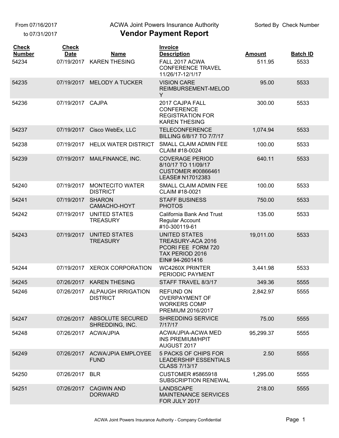From 07/16/2017

to 07/31/2017

ACWA Joint Powers Insurance Authority

| <b>Check</b><br><b>Number</b> | <b>Check</b><br><b>Date</b> | <b>Name</b>                                      | Invoice<br><b>Description</b>                                                                         | <b>Amount</b> | <b>Batch ID</b> |
|-------------------------------|-----------------------------|--------------------------------------------------|-------------------------------------------------------------------------------------------------------|---------------|-----------------|
| 54234                         | 07/19/2017                  | <b>KAREN THESING</b>                             | FALL 2017 ACWA<br><b>CONFERENCE TRAVEL</b><br>11/26/17-12/1/17                                        | 511.95        | 5533            |
| 54235                         | 07/19/2017                  | <b>MELODY A TUCKER</b>                           | <b>VISION CARE</b><br>REIMBURSEMENT-MELOD<br>Y                                                        | 95.00         | 5533            |
| 54236                         | 07/19/2017                  | <b>CAJPA</b>                                     | 2017 CAJPA FALL<br><b>CONFERENCE</b><br><b>REGISTRATION FOR</b><br><b>KAREN THESING</b>               | 300.00        | 5533            |
| 54237                         | 07/19/2017                  | Cisco WebEx, LLC                                 | <b>TELECONFERENCE</b><br>BILLING 6/8/17 TO 7/7/17                                                     | 1,074.94      | 5533            |
| 54238                         | 07/19/2017                  | <b>HELIX WATER DISTRICT</b>                      | SMALL CLAIM ADMIN FEE<br>CLAIM #18-0024                                                               | 100.00        | 5533            |
| 54239                         | 07/19/2017                  | MAILFINANCE, INC.                                | <b>COVERAGE PERIOD</b><br>8/10/17 TO 11/09/17<br><b>CUSTOMER #00866461</b><br>LEASE# N17012383        | 640.11        | 5533            |
| 54240                         | 07/19/2017                  | <b>MONTECITO WATER</b><br><b>DISTRICT</b>        | SMALL CLAIM ADMIN FEE<br>CLAIM #18-0021                                                               | 100.00        | 5533            |
| 54241                         | 07/19/2017                  | <b>SHARON</b><br>CAMACHO-HOYT                    | <b>STAFF BUSINESS</b><br><b>PHOTOS</b>                                                                | 750.00        | 5533            |
| 54242                         | 07/19/2017                  | <b>UNITED STATES</b><br><b>TREASURY</b>          | California Bank And Trust<br>Regular Account<br>#10-300119-61                                         | 135.00        | 5533            |
| 54243                         | 07/19/2017                  | <b>UNITED STATES</b><br><b>TREASURY</b>          | <b>UNITED STATES</b><br>TREASURY-ACA 2016<br>PCORI FEE FORM 720<br>TAX PERIOD 2016<br>EIN# 94-2601416 | 19,011.00     | 5533            |
| 54244                         | 07/19/2017                  | <b>XEROX CORPORATION</b>                         | <b>WC4260X PRINTER</b><br>PERIODIC PAYMENT                                                            | 3,441.98      | 5533            |
| 54245                         |                             | 07/26/2017 KAREN THESING                         | STAFF TRAVEL 8/3/17                                                                                   | 349.36        | 5555            |
| 54246                         |                             | 07/26/2017 ALPAUGH IRRIGATION<br><b>DISTRICT</b> | REFUND ON<br>OVERPAYMENT OF<br><b>WORKERS COMP</b><br>PREMIUM 2016/2017                               | 2,842.97      | 5555            |
| 54247                         |                             | 07/26/2017 ABSOLUTE SECURED<br>SHREDDING, INC.   | <b>SHREDDING SERVICE</b><br>7/17/17                                                                   | 75.00         | 5555            |
| 54248                         |                             | 07/26/2017 ACWA/JPIA                             | ACWA/JPIA-ACWA MED<br><b>INS PREMIUM/HPIT</b><br>AUGUST 2017                                          | 95,299.37     | 5555            |
| 54249                         |                             | 07/26/2017 ACWA/JPIA EMPLOYEE<br><b>FUND</b>     | 5 PACKS OF CHIPS FOR<br><b>LEADERSHIP ESSENTIALS</b><br>CLASS 7/13/17                                 | 2.50          | 5555            |
| 54250                         | 07/26/2017 BLR              |                                                  | <b>CUSTOMER #5865918</b><br>SUBSCRIPTION RENEWAL                                                      | 1,295.00      | 5555            |
| 54251                         | 07/26/2017                  | <b>CAGWIN AND</b><br><b>DORWARD</b>              | <b>LANDSCAPE</b><br><b>MAINTENANCE SERVICES</b><br>FOR JULY 2017                                      | 218.00        | 5555            |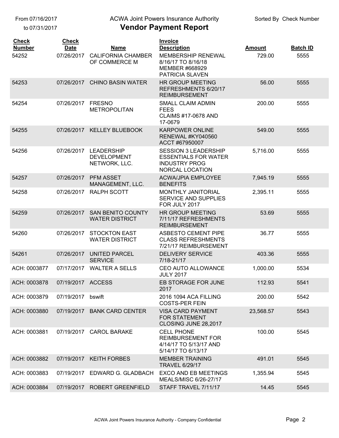From 07/16/2017

to 07/31/2017

### ACWA Joint Powers Insurance Authority

| <b>Check</b><br><b>Number</b> | <b>Check</b><br><b>Date</b> | <b>Name</b>                                              | <b>Invoice</b><br><b>Description</b>                                                                         | <b>Amount</b> | <b>Batch ID</b> |
|-------------------------------|-----------------------------|----------------------------------------------------------|--------------------------------------------------------------------------------------------------------------|---------------|-----------------|
| 54252                         | 07/26/2017                  | <b>CALIFORNIA CHAMBER</b><br>OF COMMERCE M               | <b>MEMBERSHIP RENEWAL</b><br>8/16/17 TO 8/16/18<br>MEMBER #668929<br>PATRICIA SLAVEN                         | 729.00        | 5555            |
| 54253                         |                             | 07/26/2017 CHINO BASIN WATER                             | <b>HR GROUP MEETING</b><br>REFRESHMENTS 6/20/17<br><b>REIMBURSEMENT</b>                                      | 56.00         | 5555            |
| 54254                         | 07/26/2017                  | <b>FRESNO</b><br><b>METROPOLITAN</b>                     | <b>SMALL CLAIM ADMIN</b><br><b>FEES</b><br><b>CLAIMS #17-0678 AND</b><br>17-0679                             | 200.00        | 5555            |
| 54255                         |                             | 07/26/2017 KELLEY BLUEBOOK                               | <b>KARPOWER ONLINE</b><br>RENEWAL #KY040560<br>ACCT #67950007                                                | 549.00        | 5555            |
| 54256                         | 07/26/2017                  | <b>LEADERSHIP</b><br><b>DEVELOPMENT</b><br>NETWORK, LLC. | <b>SESSION 3 LEADERSHIP</b><br><b>ESSENTIALS FOR WATER</b><br><b>INDUSTRY PROG</b><br><b>NORCAL LOCATION</b> | 5,716.00      | 5555            |
| 54257                         | 07/26/2017                  | <b>PFM ASSET</b><br>MANAGEMENT, LLC.                     | <b>ACWA/JPIA EMPLOYEE</b><br><b>BENEFITS</b>                                                                 | 7,945.19      | 5555            |
| 54258                         | 07/26/2017                  | <b>RALPH SCOTT</b>                                       | <b>MONTHLY JANITORIAL</b><br><b>SERVICE AND SUPPLIES</b><br>FOR JULY 2017                                    | 2,395.11      | 5555            |
| 54259                         | 07/26/2017                  | <b>SAN BENITO COUNTY</b><br><b>WATER DISTRICT</b>        | <b>HR GROUP MEETING</b><br>7/11/17 REFRESHMENTS<br><b>REIMBURSEMENT</b>                                      | 53.69         | 5555            |
| 54260                         | 07/26/2017                  | <b>STOCKTON EAST</b><br><b>WATER DISTRICT</b>            | <b>ASBESTO CEMENT PIPE</b><br><b>CLASS REFRESHMENTS</b><br>7/21/17 REIMBURSEMENT                             | 36.77         | 5555            |
| 54261                         | 07/26/2017                  | <b>UNITED PARCEL</b><br><b>SERVICE</b>                   | <b>DELIVERY SERVICE</b><br>7/18-21/17                                                                        | 403.36        | 5555            |
| ACH: 0003877                  | 07/17/2017                  | <b>WALTER A SELLS</b>                                    | CEO AUTO ALLOWANCE<br><b>JULY 2017</b>                                                                       | 1,000.00      | 5534            |
| ACH: 0003878                  | 07/19/2017 ACCESS           |                                                          | EB STORAGE FOR JUNE<br>2017                                                                                  | 112.93        | 5541            |
| ACH: 0003879                  | 07/19/2017                  | bswift                                                   | <b>2016 1094 ACA FILLING</b><br><b>COSTS-PER FEIN</b>                                                        | 200.00        | 5542            |
| ACH: 0003880                  | 07/19/2017                  | <b>BANK CARD CENTER</b>                                  | <b>VISA CARD PAYMENT</b><br><b>FOR STATEMENT</b><br>CLOSING JUNE 28,2017                                     | 23,568.57     | 5543            |
| ACH: 0003881                  | 07/19/2017                  | <b>CAROL BARAKE</b>                                      | <b>CELL PHONE</b><br><b>REIMBURSEMENT FOR</b><br>4/14/17 TO 5/13/17 AND<br>5/14/17 TO 6/13/17                | 100.00        | 5545            |
| ACH: 0003882                  | 07/19/2017                  | <b>KEITH FORBES</b>                                      | <b>MEMBER TRAINING</b><br><b>TRAVEL 6/29/17</b>                                                              | 491.01        | 5545            |
| ACH: 0003883                  | 07/19/2017                  | EDWARD G. GLADBACH                                       | <b>EXCO AND EB MEETINGS</b><br>MEALS/MISC 6/26-27/17                                                         | 1,355.94      | 5545            |
| ACH: 0003884                  | 07/19/2017                  | ROBERT GREENFIELD                                        | STAFF TRAVEL 7/11/17                                                                                         | 14.45         | 5545            |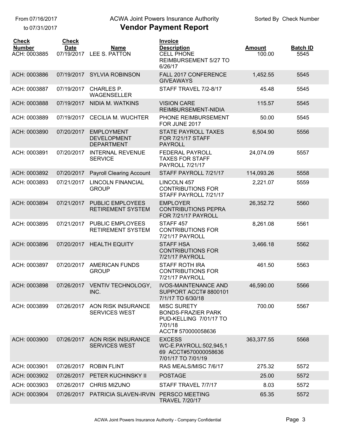to 07/31/2017

## ACWA Joint Powers Insurance Authority

| Vendor Payment Report |  |  |  |
|-----------------------|--|--|--|
|-----------------------|--|--|--|

| <b>Check</b><br><b>Number</b><br>ACH: 0003885 | <b>Check</b><br><b>Date</b><br>07/19/2017 | Name<br>LEE S. PATTON                                        | <b>Invoice</b><br><b>Description</b><br><b>CELL PHONE</b><br><b>REIMBURSEMENT 5/27 TO</b><br>6/26/17       | <b>Amount</b><br>100.00 | <b>Batch ID</b><br>5545 |
|-----------------------------------------------|-------------------------------------------|--------------------------------------------------------------|------------------------------------------------------------------------------------------------------------|-------------------------|-------------------------|
| ACH: 0003886                                  | 07/19/2017                                | <b>SYLVIA ROBINSON</b>                                       | FALL 2017 CONFERENCE<br><b>GIVEAWAYS</b>                                                                   | 1,452.55                | 5545                    |
| ACH: 0003887                                  | 07/19/2017                                | <b>CHARLES P.</b><br><b>WAGENSELLER</b>                      | STAFF TRAVEL 7/2-8/17                                                                                      | 45.48                   | 5545                    |
| ACH: 0003888                                  | 07/19/2017                                | <b>NIDIA M. WATKINS</b>                                      | <b>VISION CARE</b><br>REIMBURSEMENT-NIDIA                                                                  | 115.57                  | 5545                    |
| ACH: 0003889                                  | 07/19/2017                                | <b>CECILIA M. WUCHTER</b>                                    | PHONE REIMBURSEMENT<br>FOR JUNE 2017                                                                       | 50.00                   | 5545                    |
| ACH: 0003890                                  | 07/20/2017                                | <b>EMPLOYMENT</b><br><b>DEVELOPMENT</b><br><b>DEPARTMENT</b> | <b>STATE PAYROLL TAXES</b><br><b>FOR 7/21/17 STAFF</b><br><b>PAYROLL</b>                                   | 6,504.90                | 5556                    |
| ACH: 0003891                                  | 07/20/2017                                | <b>INTERNAL REVENUE</b><br><b>SERVICE</b>                    | FEDERAL PAYROLL<br><b>TAXES FOR STAFF</b><br><b>PAYROLL 7/21/17</b>                                        | 24,074.09               | 5557                    |
| ACH: 0003892                                  | 07/20/2017                                | <b>Payroll Clearing Account</b>                              | STAFF PAYROLL 7/21/17                                                                                      | 114,093.26              | 5558                    |
| ACH: 0003893                                  | 07/21/2017                                | <b>LINCOLN FINANCIAL</b><br><b>GROUP</b>                     | <b>LINCOLN 457</b><br><b>CONTRIBUTIONS FOR</b><br>STAFF PAYROLL 7/21/17                                    | 2,221.07                | 5559                    |
| ACH: 0003894                                  | 07/21/2017                                | <b>PUBLIC EMPLOYEES</b><br><b>RETIREMENT SYSTEM</b>          | <b>EMPLOYER</b><br><b>CONTRIBUTIONS PEPRA</b><br>FOR 7/21/17 PAYROLL                                       | 26,352.72               | 5560                    |
| ACH: 0003895                                  | 07/21/2017                                | <b>PUBLIC EMPLOYEES</b><br><b>RETIREMENT SYSTEM</b>          | STAFF <sub>457</sub><br><b>CONTRIBUTIONS FOR</b><br>7/21/17 PAYROLL                                        | 8,261.08                | 5561                    |
| ACH: 0003896                                  | 07/20/2017                                | <b>HEALTH EQUITY</b>                                         | <b>STAFF HSA</b><br><b>CONTRIBUTIONS FOR</b><br>7/21/17 PAYROLL                                            | 3,466.18                | 5562                    |
| ACH: 0003897                                  | 07/20/2017                                | <b>AMERICAN FUNDS</b><br><b>GROUP</b>                        | <b>STAFF ROTH IRA</b><br><b>CONTRIBUTIONS FOR</b><br>7/21/17 PAYROLL                                       | 461.50                  | 5563                    |
| ACH: 0003898                                  |                                           | 07/26/2017 VENTIV TECHNOLOGY,<br>INC.                        | <b>IVOS-MAINTENANCE AND</b><br>SUPPORT ACCT# 8800101<br>7/1/17 TO 6/30/18                                  | 46.590.00               | 5566                    |
| ACH: 0003899                                  | 07/26/2017                                | AON RISK INSURANCE<br><b>SERVICES WEST</b>                   | <b>MISC SURETY</b><br><b>BONDS-FRAZIER PARK</b><br>PUD-KELLING 7/01/17 TO<br>7/01/18<br>ACCT# 570000058636 | 700.00                  | 5567                    |
| ACH: 0003900                                  |                                           | 07/26/2017 AON RISK INSURANCE<br><b>SERVICES WEST</b>        | <b>EXCESS</b><br>WC-E.PAYROLL:502,945,1<br>69 ACCT#570000058636<br>7/01/17 TO 7/01/19                      | 363,377.55              | 5568                    |
| ACH: 0003901                                  |                                           | 07/26/2017 ROBIN FLINT                                       | RAS MEALS/MISC 7/6/17                                                                                      | 275.32                  | 5572                    |
| ACH: 0003902                                  |                                           | 07/26/2017 PETER KUCHINSKY II                                | <b>POSTAGE</b>                                                                                             | 25.00                   | 5572                    |
| ACH: 0003903                                  |                                           | 07/26/2017 CHRIS MIZUNO                                      | STAFF TRAVEL 7/7/17                                                                                        | 8.03                    | 5572                    |
| ACH: 0003904                                  |                                           | 07/26/2017 PATRICIA SLAVEN-IRVIN                             | PERSCO MEETING<br><b>TRAVEL 7/20/17</b>                                                                    | 65.35                   | 5572                    |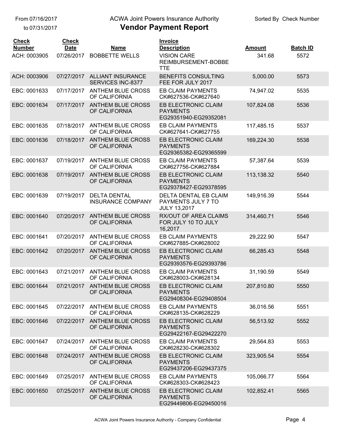to 07/31/2017

## ACWA Joint Powers Insurance Authority

| <b>Check</b><br><b>Number</b> | <b>Check</b><br><b>Date</b> | <b>Name</b>                                       | Invoice<br><b>Description</b>                                             | <b>Amount</b> | <b>Batch ID</b> |
|-------------------------------|-----------------------------|---------------------------------------------------|---------------------------------------------------------------------------|---------------|-----------------|
| ACH: 0003905                  | 07/26/2017                  | <b>BOBBETTE WELLS</b>                             | <b>VISION CARE</b><br>REIMBURSEMENT-BOBBE<br><b>TTE</b>                   | 341.68        | 5572            |
| ACH: 0003906                  |                             | 07/27/2017 ALLIANT INSURANCE<br>SERVICES INC-8377 | <b>BENEFITS CONSULTING</b><br>FEE FOR JULY 2017                           | 5,000.00      | 5573            |
| EBC: 0001633                  | 07/17/2017                  | <b>ANTHEM BLUE CROSS</b><br>OF CALIFORNIA         | <b>EB CLAIM PAYMENTS</b><br>CK#627536-CK#627640                           | 74,947.02     | 5535            |
| EBC: 0001634                  | 07/17/2017                  | <b>ANTHEM BLUE CROSS</b><br>OF CALIFORNIA         | <b>EB ELECTRONIC CLAIM</b><br><b>PAYMENTS</b><br>EG29351940-EG29352081    | 107,824.08    | 5536            |
| EBC: 0001635                  | 07/18/2017                  | <b>ANTHEM BLUE CROSS</b><br>OF CALIFORNIA         | <b>EB CLAIM PAYMENTS</b><br>CK#627641-CK#627755                           | 117,485.15    | 5537            |
| EBC: 0001636                  | 07/18/2017                  | <b>ANTHEM BLUE CROSS</b><br>OF CALIFORNIA         | EB ELECTRONIC CLAIM<br><b>PAYMENTS</b><br>EG29365382-EG29365599           | 169,224.30    | 5538            |
| EBC: 0001637                  | 07/19/2017                  | <b>ANTHEM BLUE CROSS</b><br>OF CALIFORNIA         | EB CLAIM PAYMENTS<br>CK#627756-CK#627884                                  | 57,387.64     | 5539            |
| EBC: 0001638                  | 07/19/2017                  | <b>ANTHEM BLUE CROSS</b><br>OF CALIFORNIA         | EB ELECTRONIC CLAIM<br><b>PAYMENTS</b><br>EG29378427-EG29378595           | 113,138.32    | 5540            |
| EBC: 0001639                  | 07/19/2017                  | <b>DELTA DENTAL</b><br><b>INSURANCE COMPANY</b>   | <b>DELTA DENTAL EB CLAIM</b><br>PAYMENTS JULY 7 TO<br><b>JULY 13,2017</b> | 149,916.39    | 5544            |
| EBC: 0001640                  | 07/20/2017                  | <b>ANTHEM BLUE CROSS</b><br>OF CALIFORNIA         | <b>RX/OUT OF AREA CLAIMS</b><br>FOR JULY 10 TO JULY<br>16,2017            | 314,460.71    | 5546            |
| EBC: 0001641                  | 07/20/2017                  | <b>ANTHEM BLUE CROSS</b><br>OF CALIFORNIA         | EB CLAIM PAYMENTS<br>CK#627885-CK#628002                                  | 29,222.90     | 5547            |
| EBC: 0001642                  | 07/20/2017                  | <b>ANTHEM BLUE CROSS</b><br>OF CALIFORNIA         | EB ELECTRONIC CLAIM<br><b>PAYMENTS</b><br>EG29393576-EG29393786           | 66,285.43     | 5548            |
| EBC: 0001643                  | 07/21/2017                  | <b>ANTHEM BLUE CROSS</b><br>OF CALIFORNIA         | <b>EB CLAIM PAYMENTS</b><br>CK#628003-CK#628134                           | 31,190.59     | 5549            |
| EBC: 0001644                  |                             | 07/21/2017 ANTHEM BLUE CROSS<br>OF CALIFORNIA     | EB ELECTRONIC CLAIM<br><b>PAYMENTS</b><br>EG29408304-EG29408504           | 207,810.80    | 5550            |
| EBC: 0001645                  | 07/22/2017                  | <b>ANTHEM BLUE CROSS</b><br>OF CALIFORNIA         | EB CLAIM PAYMENTS<br>CK#628135-CK#628229                                  | 36,016.56     | 5551            |
| EBC: 0001646                  | 07/22/2017                  | <b>ANTHEM BLUE CROSS</b><br>OF CALIFORNIA         | EB ELECTRONIC CLAIM<br><b>PAYMENTS</b><br>EG29422167-EG29422270           | 56,513.92     | 5552            |
| EBC: 0001647                  | 07/24/2017                  | <b>ANTHEM BLUE CROSS</b><br>OF CALIFORNIA         | EB CLAIM PAYMENTS<br>CK#628230-CK#628302                                  | 29,564.83     | 5553            |
| EBC: 0001648                  | 07/24/2017                  | <b>ANTHEM BLUE CROSS</b><br>OF CALIFORNIA         | EB ELECTRONIC CLAIM<br><b>PAYMENTS</b><br>EG29437206-EG29437375           | 323,905.54    | 5554            |
| EBC: 0001649                  | 07/25/2017                  | <b>ANTHEM BLUE CROSS</b><br>OF CALIFORNIA         | EB CLAIM PAYMENTS<br>CK#628303-CK#628423                                  | 105,066.77    | 5564            |
| EBC: 0001650                  | 07/25/2017                  | <b>ANTHEM BLUE CROSS</b><br>OF CALIFORNIA         | EB ELECTRONIC CLAIM<br><b>PAYMENTS</b><br>EG29449806-EG29450016           | 102,852.41    | 5565            |